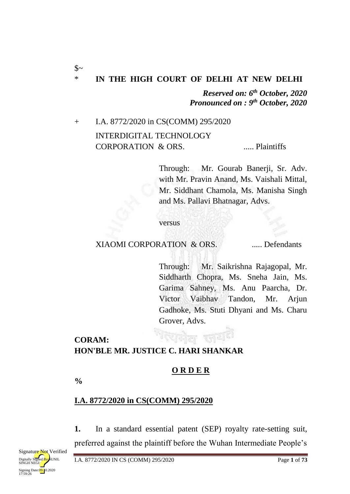# \* **IN THE HIGH COURT OF DELHI AT NEW DELHI**

*Reserved on: 6th October, 2020 Pronounced on : 9th October, 2020*

+ I.A. 8772/2020 in CS(COMM) 295/2020 INTERDIGITAL TECHNOLOGY CORPORATION & ORS. ...... Plaintiffs

> Through: Mr. Gourab Banerji, Sr. Adv. with Mr. Pravin Anand, Ms. Vaishali Mittal, Mr. Siddhant Chamola, Ms. Manisha Singh and Ms. Pallavi Bhatnagar, Advs.

versus

#### XIAOMI CORPORATION & ORS. ..... Defendants

Through: Mr. Saikrishna Rajagopal, Mr. Siddharth Chopra, Ms. Sneha Jain, Ms. Garima Sahney, Ms. Anu Paarcha, Dr. Victor Vaibhav Tandon, Mr. Arjun Gadhoke, Ms. Stuti Dhyani and Ms. Charu Grover, Advs.

### **CORAM: HON'BLE MR. JUSTICE C. HARI SHANKAR**

### **O R D E R**

**%**

 $\mathcal{S}$ ~

### **I.A. 8772/2020 in CS(COMM) 295/2020**

**1.** In a standard essential patent (SEP) royalty rate-setting suit, preferred against the plaintiff before the Wuhan Intermediate People's

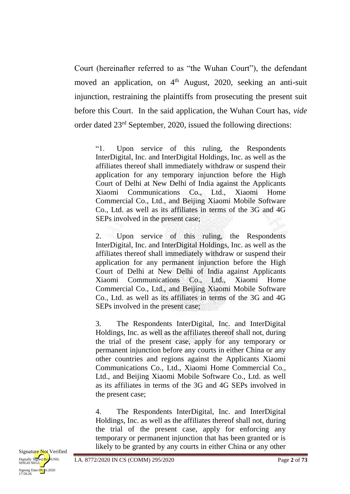Court (hereinafter referred to as "the Wuhan Court"), the defendant moved an application, on  $4<sup>th</sup>$  August, 2020, seeking an anti-suit injunction, restraining the plaintiffs from prosecuting the present suit before this Court. In the said application, the Wuhan Court has, *vide* order dated 23rd September, 2020, issued the following directions:

"1. Upon service of this ruling, the Respondents InterDigital, Inc. and InterDigital Holdings, Inc. as well as the affiliates thereof shall immediately withdraw or suspend their application for any temporary injunction before the High Court of Delhi at New Delhi of India against the Applicants Xiaomi Communications Co., Ltd., Xiaomi Home Commercial Co., Ltd., and Beijing Xiaomi Mobile Software Co., Ltd. as well as its affiliates in terms of the 3G and 4G SEPs involved in the present case;

2. Upon service of this ruling, the Respondents InterDigital, Inc. and InterDigital Holdings, Inc. as well as the affiliates thereof shall immediately withdraw or suspend their application for any permanent injunction before the High Court of Delhi at New Delhi of India against Applicants Xiaomi Communications Co., Ltd., Xiaomi Home Commercial Co., Ltd., and Beijing Xiaomi Mobile Software Co., Ltd. as well as its affiliates in terms of the 3G and 4G SEPs involved in the present case;

3. The Respondents InterDigital, Inc. and InterDigital Holdings, Inc. as well as the affiliates thereof shall not, during the trial of the present case, apply for any temporary or permanent injunction before any courts in either China or any other countries and regions against the Applicants Xiaomi Communications Co., Ltd., Xiaomi Home Commercial Co., Ltd., and Beijing Xiaomi Mobile Software Co., Ltd. as well as its affiliates in terms of the 3G and 4G SEPs involved in the present case;

4. The Respondents InterDigital, Inc. and InterDigital Holdings, Inc. as well as the affiliates thereof shall not, during the trial of the present case, apply for enforcing any temporary or permanent injunction that has been granted or is likely to be granted by any courts in either China or any other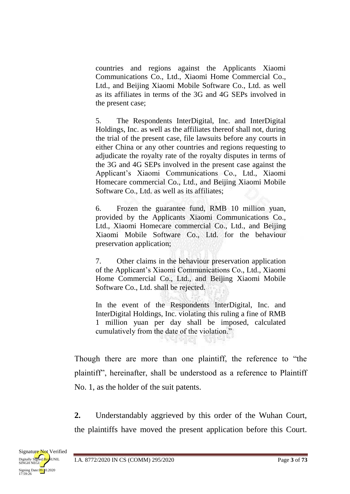countries and regions against the Applicants Xiaomi Communications Co., Ltd., Xiaomi Home Commercial Co., Ltd., and Beijing Xiaomi Mobile Software Co., Ltd. as well as its affiliates in terms of the 3G and 4G SEPs involved in the present case;

5. The Respondents InterDigital, Inc. and InterDigital Holdings, Inc. as well as the affiliates thereof shall not, during the trial of the present case, file lawsuits before any courts in either China or any other countries and regions requesting to adjudicate the royalty rate of the royalty disputes in terms of the 3G and 4G SEPs involved in the present case against the Applicant's Xiaomi Communications Co., Ltd., Xiaomi Homecare commercial Co., Ltd., and Beijing Xiaomi Mobile Software Co., Ltd. as well as its affiliates;

6. Frozen the guarantee fund, RMB 10 million yuan, provided by the Applicants Xiaomi Communications Co., Ltd., Xiaomi Homecare commercial Co., Ltd., and Beijing Xiaomi Mobile Software Co., Ltd. for the behaviour preservation application;

7. Other claims in the behaviour preservation application of the Applicant's Xiaomi Communications Co., Ltd., Xiaomi Home Commercial Co., Ltd., and Beijing Xiaomi Mobile Software Co., Ltd. shall be rejected.

In the event of the Respondents InterDigital, Inc. and InterDigital Holdings, Inc. violating this ruling a fine of RMB 1 million yuan per day shall be imposed, calculated cumulatively from the date of the violation." 도덕 대 서  $\alpha$  and  $\alpha$  and  $\alpha$ 

Though there are more than one plaintiff, the reference to "the plaintiff", hereinafter, shall be understood as a reference to Plaintiff No. 1, as the holder of the suit patents.

**2.** Understandably aggrieved by this order of the Wuhan Court, the plaintiffs have moved the present application before this Court.

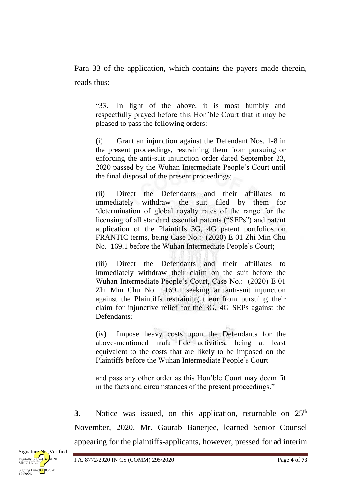Para 33 of the application, which contains the payers made therein, reads thus:

"33. In light of the above, it is most humbly and respectfully prayed before this Hon'ble Court that it may be pleased to pass the following orders:

(i) Grant an injunction against the Defendant Nos. 1-8 in the present proceedings, restraining them from pursuing or enforcing the anti-suit injunction order dated September 23, 2020 passed by the Wuhan Intermediate People's Court until the final disposal of the present proceedings;

(ii) Direct the Defendants and their affiliates to immediately withdraw the suit filed by them for 'determination of global royalty rates of the range for the licensing of all standard essential patents ("SEPs") and patent application of the Plaintiffs 3G, 4G patent portfolios on FRANTIC terms, being Case No.: (2020) E 01 Zhi Min Chu No. 169.1 before the Wuhan Intermediate People's Court;

(iii) Direct the Defendants and their affiliates to immediately withdraw their claim on the suit before the Wuhan Intermediate People's Court, Case No.: (2020) E 01 Zhi Min Chu No. 169.1 seeking an anti-suit injunction against the Plaintiffs restraining them from pursuing their claim for injunctive relief for the 3G, 4G SEPs against the Defendants;

(iv) Impose heavy costs upon the Defendants for the above-mentioned mala fide activities, being at least equivalent to the costs that are likely to be imposed on the Plaintiffs before the Wuhan Intermediate People's Court

and pass any other order as this Hon'ble Court may deem fit in the facts and circumstances of the present proceedings."

**3.** Notice was issued, on this application, returnable on 25<sup>th</sup> November, 2020. Mr. Gaurab Banerjee, learned Senior Counsel appearing for the plaintiffs-applicants, however, pressed for ad interim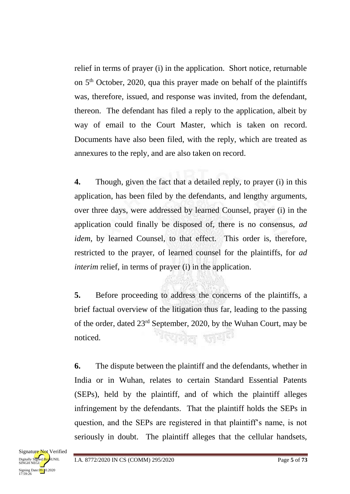relief in terms of prayer (i) in the application. Short notice, returnable on 5 th October, 2020, qua this prayer made on behalf of the plaintiffs was, therefore, issued, and response was invited, from the defendant, thereon. The defendant has filed a reply to the application, albeit by way of email to the Court Master, which is taken on record. Documents have also been filed, with the reply, which are treated as annexures to the reply, and are also taken on record.

**4.** Though, given the fact that a detailed reply, to prayer (i) in this application, has been filed by the defendants, and lengthy arguments, over three days, were addressed by learned Counsel, prayer (i) in the application could finally be disposed of, there is no consensus, *ad idem*, by learned Counsel, to that effect. This order is, therefore, restricted to the prayer, of learned counsel for the plaintiffs, for *ad interim* relief, in terms of prayer (i) in the application.

**5.** Before proceeding to address the concerns of the plaintiffs, a brief factual overview of the litigation thus far, leading to the passing of the order, dated 23rd September, 2020, by the Wuhan Court, may be <sup>पर</sup>यक्षेत्र स्त्रय<sup>त</sup> noticed.

**6.** The dispute between the plaintiff and the defendants, whether in India or in Wuhan, relates to certain Standard Essential Patents (SEPs), held by the plaintiff, and of which the plaintiff alleges infringement by the defendants. That the plaintiff holds the SEPs in question, and the SEPs are registered in that plaintiff's name, is not seriously in doubt. The plaintiff alleges that the cellular handsets,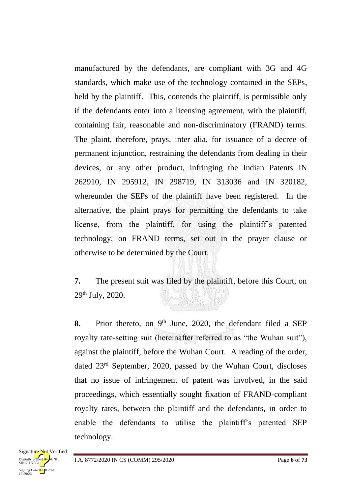manufactured by the defendants, are compliant with 3G and 4G standards, which make use of the technology contained in the SEPs, held by the plaintiff. This, contends the plaintiff, is permissible only if the defendants enter into a licensing agreement, with the plaintiff, containing fair, reasonable and non-discriminatory (FRAND) terms. The plaint, therefore, prays, inter alia, for issuance of a decree of permanent injunction, restraining the defendants from dealing in their devices, or any other product, infringing the Indian Patents IN 262910, IN 295912, IN 298719, IN 313036 and IN 320182, whereunder the SEPs of the plaintiff have been registered. In the alternative, the plaint prays for permitting the defendants to take license, from the plaintiff, for using the plaintiff's patented technology, on FRAND terms, set out in the prayer clause or otherwise to be determined by the Court.

**7.** The present suit was filed by the plaintiff, before this Court, on 29th July, 2020.

8. Prior thereto, on 9<sup>th</sup> June, 2020, the defendant filed a SEP royalty rate-setting suit (hereinafter referred to as "the Wuhan suit"), against the plaintiff, before the Wuhan Court. A reading of the order, dated 23rd September, 2020, passed by the Wuhan Court, discloses that no issue of infringement of patent was involved, in the said proceedings, which essentially sought fixation of FRAND-compliant royalty rates, between the plaintiff and the defendants, in order to enable the defendants to utilise the plaintiff's patented SEP technology.

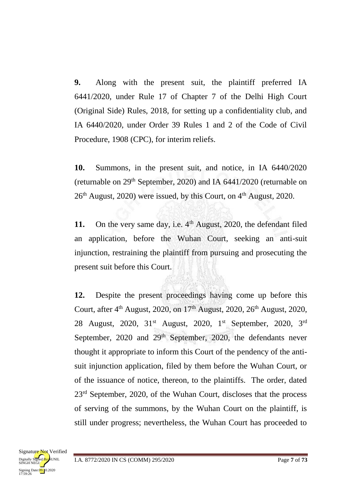**9.** Along with the present suit, the plaintiff preferred IA 6441/2020, under Rule 17 of Chapter 7 of the Delhi High Court (Original Side) Rules, 2018, for setting up a confidentiality club, and IA 6440/2020, under Order 39 Rules 1 and 2 of the Code of Civil Procedure, 1908 (CPC), for interim reliefs.

**10.** Summons, in the present suit, and notice, in IA 6440/2020 (returnable on  $29<sup>th</sup>$  September, 2020) and IA 6441/2020 (returnable on  $26<sup>th</sup>$  August, 2020) were issued, by this Court, on  $4<sup>th</sup>$  August, 2020.

11. On the very same day, i.e.  $4<sup>th</sup>$  August, 2020, the defendant filed an application, before the Wuhan Court, seeking an anti-suit injunction, restraining the plaintiff from pursuing and prosecuting the present suit before this Court.

**12.** Despite the present proceedings having come up before this Court, after 4<sup>th</sup> August, 2020, on 17<sup>th</sup> August, 2020, 26<sup>th</sup> August, 2020, 28 August, 2020, 31<sup>st</sup> August, 2020, 1<sup>st</sup> September, 2020, 3<sup>rd</sup> September,  $2020$  and  $29<sup>th</sup>$  September,  $2020$ , the defendants never thought it appropriate to inform this Court of the pendency of the antisuit injunction application, filed by them before the Wuhan Court, or of the issuance of notice, thereon, to the plaintiffs. The order, dated 23<sup>rd</sup> September, 2020, of the Wuhan Court, discloses that the process of serving of the summons, by the Wuhan Court on the plaintiff, is still under progress; nevertheless, the Wuhan Court has proceeded to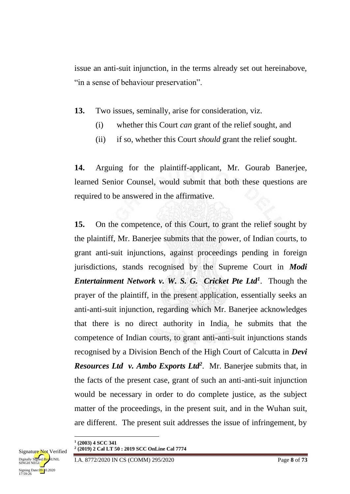issue an anti-suit injunction, in the terms already set out hereinabove, "in a sense of behaviour preservation".

**13.** Two issues, seminally, arise for consideration, viz.

- (i) whether this Court *can* grant of the relief sought, and
- (ii) if so, whether this Court *should* grant the relief sought.

**14.** Arguing for the plaintiff-applicant, Mr. Gourab Banerjee, learned Senior Counsel, would submit that both these questions are required to be answered in the affirmative.

**15.** On the competence, of this Court, to grant the relief sought by the plaintiff, Mr. Banerjee submits that the power, of Indian courts, to grant anti-suit injunctions, against proceedings pending in foreign jurisdictions, stands recognised by the Supreme Court in *Modi Entertainment Network v. W. S. G. Cricket Pte Ltd<sup>1</sup>* . Though the prayer of the plaintiff, in the present application, essentially seeks an anti-anti-suit injunction, regarding which Mr. Banerjee acknowledges that there is no direct authority in India, he submits that the competence of Indian courts, to grant anti-anti-suit injunctions stands recognised by a Division Bench of the High Court of Calcutta in *Devi Resources Ltd v. Ambo Exports Ltd<sup>2</sup>* . Mr. Banerjee submits that, in the facts of the present case, grant of such an anti-anti-suit injunction would be necessary in order to do complete justice, as the subject matter of the proceedings, in the present suit, and in the Wuhan suit, are different. The present suit addresses the issue of infringement, by

**.** 

**<sup>2</sup> (2019) 2 Cal LT 50 : 2019 SCC OnLine Cal 7774**



**<sup>1</sup> (2003) 4 SCC 341**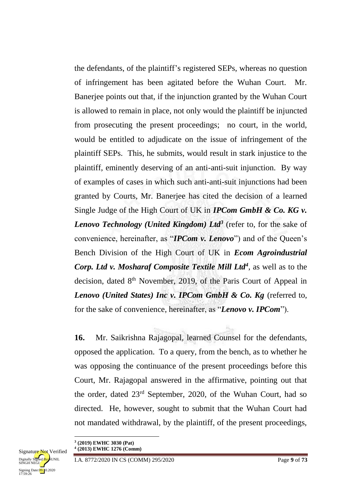the defendants, of the plaintiff's registered SEPs, whereas no question of infringement has been agitated before the Wuhan Court. Mr. Banerjee points out that, if the injunction granted by the Wuhan Court is allowed to remain in place, not only would the plaintiff be injuncted from prosecuting the present proceedings; no court, in the world, would be entitled to adjudicate on the issue of infringement of the plaintiff SEPs. This, he submits, would result in stark injustice to the plaintiff, eminently deserving of an anti-anti-suit injunction. By way of examples of cases in which such anti-anti-suit injunctions had been granted by Courts, Mr. Banerjee has cited the decision of a learned Single Judge of the High Court of UK in *IPCom GmbH & Co. KG v. Lenovo Technology (United Kingdom) Ltd<sup>3</sup>* (refer to, for the sake of convenience, hereinafter, as "*IPCom v. Lenovo*") and of the Queen's Bench Division of the High Court of UK in *Ecom Agroindustrial Corp. Ltd v. Mosharaf Composite Textile Mill Ltd<sup>4</sup>* , as well as to the decision, dated  $8<sup>th</sup>$  November, 2019, of the Paris Court of Appeal in Lenovo (United States) Inc v. IPCom GmbH & Co. Kg (referred to, for the sake of convenience, hereinafter, as "*Lenovo v. IPCom*").

**16.** Mr. Saikrishna Rajagopal, learned Counsel for the defendants, opposed the application. To a query, from the bench, as to whether he was opposing the continuance of the present proceedings before this Court, Mr. Rajagopal answered in the affirmative, pointing out that the order, dated 23rd September, 2020, of the Wuhan Court, had so directed. He, however, sought to submit that the Wuhan Court had not mandated withdrawal, by the plaintiff, of the present proceedings,

**.** 

**<sup>3</sup> (2019) EWHC 3030 (Pat) 4 (2013) EWHC 1276 (Comm)**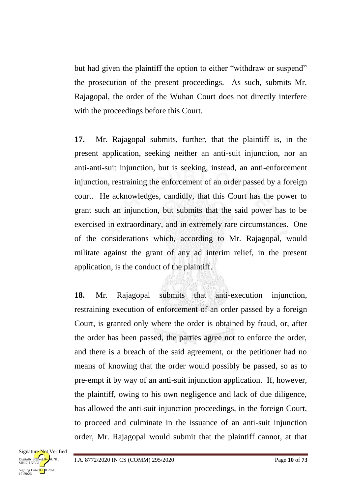but had given the plaintiff the option to either "withdraw or suspend" the prosecution of the present proceedings. As such, submits Mr. Rajagopal, the order of the Wuhan Court does not directly interfere with the proceedings before this Court.

**17.** Mr. Rajagopal submits, further, that the plaintiff is, in the present application, seeking neither an anti-suit injunction, nor an anti-anti-suit injunction, but is seeking, instead, an anti-enforcement injunction, restraining the enforcement of an order passed by a foreign court. He acknowledges, candidly, that this Court has the power to grant such an injunction, but submits that the said power has to be exercised in extraordinary, and in extremely rare circumstances. One of the considerations which, according to Mr. Rajagopal, would militate against the grant of any ad interim relief, in the present application, is the conduct of the plaintiff.

**18.** Mr. Rajagopal submits that anti-execution injunction, restraining execution of enforcement of an order passed by a foreign Court, is granted only where the order is obtained by fraud, or, after the order has been passed, the parties agree not to enforce the order, and there is a breach of the said agreement, or the petitioner had no means of knowing that the order would possibly be passed, so as to pre-empt it by way of an anti-suit injunction application. If, however, the plaintiff, owing to his own negligence and lack of due diligence, has allowed the anti-suit injunction proceedings, in the foreign Court, to proceed and culminate in the issuance of an anti-suit injunction order, Mr. Rajagopal would submit that the plaintiff cannot, at that

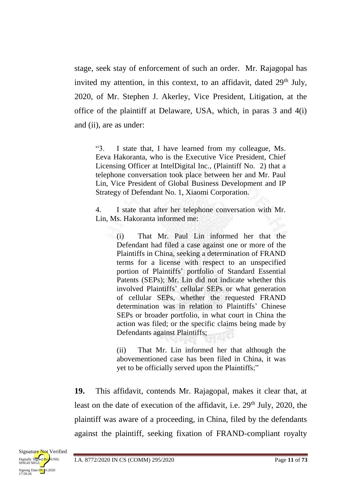stage, seek stay of enforcement of such an order. Mr. Rajagopal has invited my attention, in this context, to an affidavit, dated  $29<sup>th</sup>$  July, 2020, of Mr. Stephen J. Akerley, Vice President, Litigation, at the office of the plaintiff at Delaware, USA, which, in paras 3 and 4(i) and (ii), are as under:

"3. I state that, I have learned from my colleague, Ms. Eeva Hakoranta, who is the Executive Vice President, Chief Licensing Officer at IntelDigital Inc., (Plaintiff No. 2) that a telephone conversation took place between her and Mr. Paul Lin, Vice President of Global Business Development and IP Strategy of Defendant No. 1, Xiaomi Corporation.

4. I state that after her telephone conversation with Mr. Lin, Ms. Hakoranta informed me:

> (i) That Mr. Paul Lin informed her that the Defendant had filed a case against one or more of the Plaintiffs in China, seeking a determination of FRAND terms for a license with respect to an unspecified portion of Plaintiffs' portfolio of Standard Essential Patents (SEPs); Mr. Lin did not indicate whether this involved Plaintiffs' cellular SEPs or what generation of cellular SEPs, whether the requested FRAND determination was in relation to Plaintiffs' Chinese SEPs or broader portfolio, in what court in China the action was filed; or the specific claims being made by Defendants against Plaintiffs;

> (ii) That Mr. Lin informed her that although the abovementioned case has been filed in China, it was yet to be officially served upon the Plaintiffs;"

**19.** This affidavit, contends Mr. Rajagopal, makes it clear that, at least on the date of execution of the affidavit, i.e.  $29<sup>th</sup>$  July, 2020, the plaintiff was aware of a proceeding, in China, filed by the defendants against the plaintiff, seeking fixation of FRAND-compliant royalty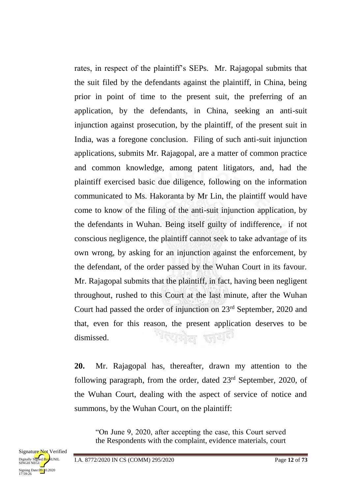rates, in respect of the plaintiff's SEPs. Mr. Rajagopal submits that the suit filed by the defendants against the plaintiff, in China, being prior in point of time to the present suit, the preferring of an application, by the defendants, in China, seeking an anti-suit injunction against prosecution, by the plaintiff, of the present suit in India, was a foregone conclusion. Filing of such anti-suit injunction applications, submits Mr. Rajagopal, are a matter of common practice and common knowledge, among patent litigators, and, had the plaintiff exercised basic due diligence, following on the information communicated to Ms. Hakoranta by Mr Lin, the plaintiff would have come to know of the filing of the anti-suit injunction application, by the defendants in Wuhan. Being itself guilty of indifference, if not conscious negligence, the plaintiff cannot seek to take advantage of its own wrong, by asking for an injunction against the enforcement, by the defendant, of the order passed by the Wuhan Court in its favour. Mr. Rajagopal submits that the plaintiff, in fact, having been negligent throughout, rushed to this Court at the last minute, after the Wuhan Court had passed the order of injunction on 23rd September, 2020 and that, even for this reason, the present application deserves to be <sup>पर</sup>एमेल जय<sup>ा</sup> dismissed.

**20.** Mr. Rajagopal has, thereafter, drawn my attention to the following paragraph, from the order, dated 23<sup>rd</sup> September, 2020, of the Wuhan Court, dealing with the aspect of service of notice and summons, by the Wuhan Court, on the plaintiff:

"On June 9, 2020, after accepting the case, this Court served the Respondents with the complaint, evidence materials, court

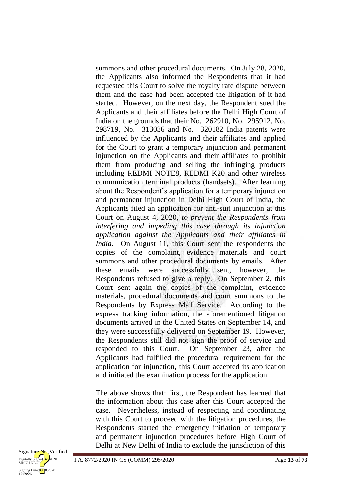summons and other procedural documents. On July 28, 2020, the Applicants also informed the Respondents that it had requested this Court to solve the royalty rate dispute between them and the case had been accepted the litigation of it had started. However, on the next day, the Respondent sued the Applicants and their affiliates before the Delhi High Court of India on the grounds that their No. 262910, No. 295912, No. 298719, No. 313036 and No. 320182 India patents were influenced by the Applicants and their affiliates and applied for the Court to grant a temporary injunction and permanent injunction on the Applicants and their affiliates to prohibit them from producing and selling the infringing products including REDMI NOTE8, REDMI K20 and other wireless communication terminal products (handsets). After learning about the Respondent's application for a temporary injunction and permanent injunction in Delhi High Court of India, the Applicants filed an application for anti-suit injunction at this Court on August 4, 2020, *to prevent the Respondents from interfering and impeding this case through its injunction application against the Applicants and their affiliates in India*. On August 11, this Court sent the respondents the copies of the complaint, evidence materials and court summons and other procedural documents by emails. After these emails were successfully sent, however, the Respondents refused to give a reply. On September 2, this Court sent again the copies of the complaint, evidence materials, procedural documents and court summons to the Respondents by Express Mail Service. According to the express tracking information, the aforementioned litigation documents arrived in the United States on September 14, and they were successfully delivered on September 19. However, the Respondents still did not sign the proof of service and responded to this Court. On September 23, after the Applicants had fulfilled the procedural requirement for the application for injunction, this Court accepted its application and initiated the examination process for the application.

The above shows that: first, the Respondent has learned that the information about this case after this Court accepted the case. Nevertheless, instead of respecting and coordinating with this Court to proceed with the litigation procedures, the Respondents started the emergency initiation of temporary and permanent injunction procedures before High Court of Delhi at New Delhi of India to exclude the jurisdiction of this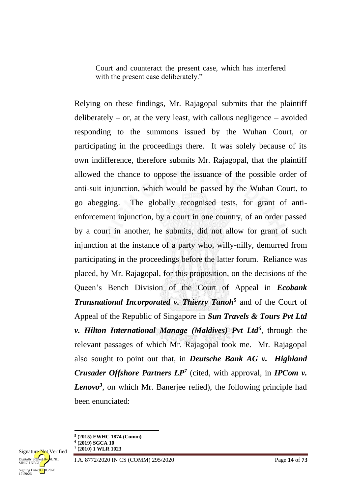Court and counteract the present case, which has interfered with the present case deliberately."

Relying on these findings, Mr. Rajagopal submits that the plaintiff deliberately – or, at the very least, with callous negligence – avoided responding to the summons issued by the Wuhan Court, or participating in the proceedings there. It was solely because of its own indifference, therefore submits Mr. Rajagopal, that the plaintiff allowed the chance to oppose the issuance of the possible order of anti-suit injunction, which would be passed by the Wuhan Court, to go abegging. The globally recognised tests, for grant of antienforcement injunction, by a court in one country, of an order passed by a court in another, he submits, did not allow for grant of such injunction at the instance of a party who, willy-nilly, demurred from participating in the proceedings before the latter forum. Reliance was placed, by Mr. Rajagopal, for this proposition, on the decisions of the Queen's Bench Division of the Court of Appeal in *Ecobank Transnational Incorporated v. Thierry Tanoh<sup>5</sup>* and of the Court of Appeal of the Republic of Singapore in *Sun Travels & Tours Pvt Ltd v. Hilton International Manage (Maldives) Pvt Ltd<sup>6</sup>* , through the relevant passages of which Mr. Rajagopal took me. Mr. Rajagopal also sought to point out that, in *Deutsche Bank AG v. Highland Crusader Offshore Partners LP<sup>7</sup>* (cited, with approval, in *IPCom v. Lenovo<sup>3</sup>* , on which Mr. Banerjee relied), the following principle had been enunciated:

**.** 



**<sup>5</sup> (2015) EWHC 1874 (Comm)**

**<sup>6</sup> (2019) SGCA 10 7 (2010) 1 WLR 1023**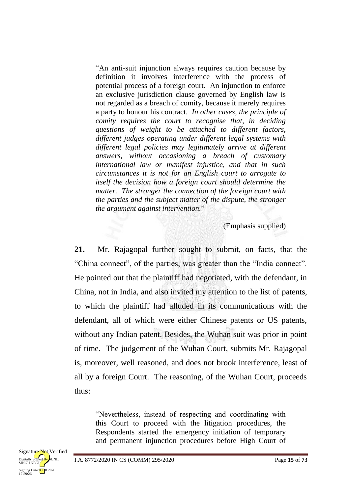"An anti-suit injunction always requires caution because by definition it involves interference with the process of potential process of a foreign court. An injunction to enforce an exclusive jurisdiction clause governed by English law is not regarded as a breach of comity, because it merely requires a party to honour his contract. *In other cases, the principle of comity requires the court to recognise that, in deciding questions of weight to be attached to different factors, different judges operating under different legal systems with different legal policies may legitimately arrive at different answers, without occasioning a breach of customary international law or manifest injustice, and that in such circumstances it is not for an English court to arrogate to itself the decision how a foreign court should determine the matter. The stronger the connection of the foreign court with the parties and the subject matter of the dispute, the stronger the argument against intervention.*"

(Emphasis supplied)

**21.** Mr. Rajagopal further sought to submit, on facts, that the "China connect", of the parties, was greater than the "India connect". He pointed out that the plaintiff had negotiated, with the defendant, in China, not in India, and also invited my attention to the list of patents, to which the plaintiff had alluded in its communications with the defendant, all of which were either Chinese patents or US patents, without any Indian patent. Besides, the Wuhan suit was prior in point of time. The judgement of the Wuhan Court, submits Mr. Rajagopal is, moreover, well reasoned, and does not brook interference, least of all by a foreign Court. The reasoning, of the Wuhan Court, proceeds thus:

"Nevertheless, instead of respecting and coordinating with this Court to proceed with the litigation procedures, the Respondents started the emergency initiation of temporary and permanent injunction procedures before High Court of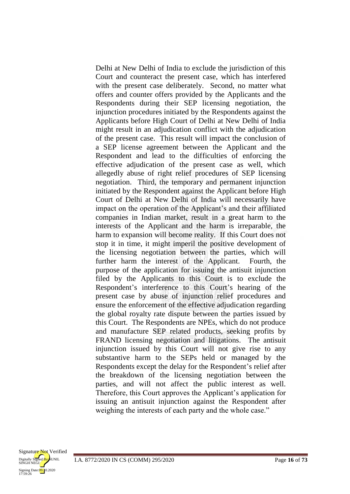Delhi at New Delhi of India to exclude the jurisdiction of this Court and counteract the present case, which has interfered with the present case deliberately. Second, no matter what offers and counter offers provided by the Applicants and the Respondents during their SEP licensing negotiation, the injunction procedures initiated by the Respondents against the Applicants before High Court of Delhi at New Delhi of India might result in an adjudication conflict with the adjudication of the present case. This result will impact the conclusion of a SEP license agreement between the Applicant and the Respondent and lead to the difficulties of enforcing the effective adjudication of the present case as well, which allegedly abuse of right relief procedures of SEP licensing negotiation. Third, the temporary and permanent injunction initiated by the Respondent against the Applicant before High Court of Delhi at New Delhi of India will necessarily have impact on the operation of the Applicant's and their affiliated companies in Indian market, result in a great harm to the interests of the Applicant and the harm is irreparable, the harm to expansion will become reality. If this Court does not stop it in time, it might imperil the positive development of the licensing negotiation between the parties, which will further harm the interest of the Applicant. Fourth, the purpose of the application for issuing the antisuit injunction filed by the Applicants to this Court is to exclude the Respondent's interference to this Court's hearing of the present case by abuse of injunction relief procedures and ensure the enforcement of the effective adjudication regarding the global royalty rate dispute between the parties issued by this Court. The Respondents are NPEs, which do not produce and manufacture SEP related products, seeking profits by FRAND licensing negotiation and litigations. The antisuit injunction issued by this Court will not give rise to any substantive harm to the SEPs held or managed by the Respondents except the delay for the Respondent's relief after the breakdown of the licensing negotiation between the parties, and will not affect the public interest as well. Therefore, this Court approves the Applicant's application for issuing an antisuit injunction against the Respondent after weighing the interests of each party and the whole case."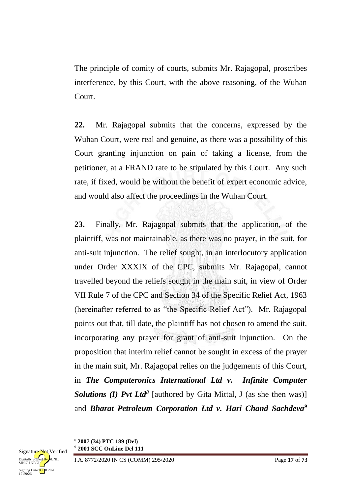The principle of comity of courts, submits Mr. Rajagopal, proscribes interference, by this Court, with the above reasoning, of the Wuhan Court.

**22.** Mr. Rajagopal submits that the concerns, expressed by the Wuhan Court, were real and genuine, as there was a possibility of this Court granting injunction on pain of taking a license, from the petitioner, at a FRAND rate to be stipulated by this Court. Any such rate, if fixed, would be without the benefit of expert economic advice, and would also affect the proceedings in the Wuhan Court.

**23.** Finally, Mr. Rajagopal submits that the application, of the plaintiff, was not maintainable, as there was no prayer, in the suit, for anti-suit injunction. The relief sought, in an interlocutory application under Order XXXIX of the CPC, submits Mr. Rajagopal, cannot travelled beyond the reliefs sought in the main suit, in view of Order VII Rule 7 of the CPC and Section 34 of the Specific Relief Act, 1963 (hereinafter referred to as "the Specific Relief Act"). Mr. Rajagopal points out that, till date, the plaintiff has not chosen to amend the suit, incorporating any prayer for grant of anti-suit injunction. On the proposition that interim relief cannot be sought in excess of the prayer in the main suit, Mr. Rajagopal relies on the judgements of this Court, in *The Computeronics International Ltd v. Infinite Computer Solutions (I) Pvt Ltd<sup>8</sup>* [authored by Gita Mittal, J (as she then was)] and *Bharat Petroleum Corporation Ltd v. Hari Chand Sachdeva<sup>9</sup>*

**.** 

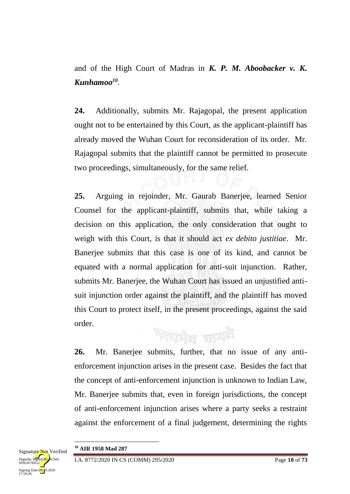and of the High Court of Madras in *K. P. M. Aboobacker v. K. Kunhamoo 10* .

**24.** Additionally, submits Mr. Rajagopal, the present application ought not to be entertained by this Court, as the applicant-plaintiff has already moved the Wuhan Court for reconsideration of its order. Mr. Rajagopal submits that the plaintiff cannot be permitted to prosecute two proceedings, simultaneously, for the same relief.

**25.** Arguing in rejoinder, Mr. Gaurab Banerjee, learned Senior Counsel for the applicant-plaintiff, submits that, while taking a decision on this application, the only consideration that ought to weigh with this Court, is that it should act *ex debito justitiae*. Mr. Banerjee submits that this case is one of its kind, and cannot be equated with a normal application for anti-suit injunction. Rather, submits Mr. Banerjee, the Wuhan Court has issued an unjustified antisuit injunction order against the plaintiff, and the plaintiff has moved this Court to protect itself, in the present proceedings, against the said order.

শহনীল জয়নী

**26.** Mr. Banerjee submits, further, that no issue of any antienforcement injunction arises in the present case. Besides the fact that the concept of anti-enforcement injunction is unknown to Indian Law, Mr. Banerjee submits that, even in foreign jurisdictions, the concept of anti-enforcement injunction arises where a party seeks a restraint against the enforcement of a final judgement, determining the rights

**.** 



**<sup>10</sup> AIR 1958 Mad 287**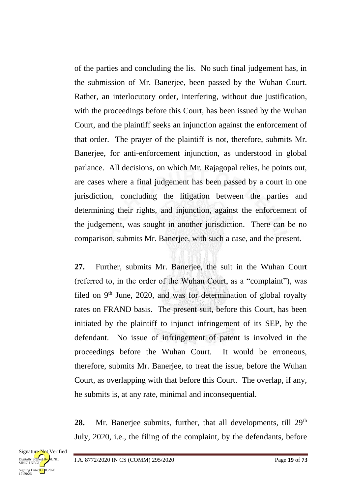of the parties and concluding the lis. No such final judgement has, in the submission of Mr. Banerjee, been passed by the Wuhan Court. Rather, an interlocutory order, interfering, without due justification, with the proceedings before this Court, has been issued by the Wuhan Court, and the plaintiff seeks an injunction against the enforcement of that order. The prayer of the plaintiff is not, therefore, submits Mr. Banerjee, for anti-enforcement injunction, as understood in global parlance. All decisions, on which Mr. Rajagopal relies, he points out, are cases where a final judgement has been passed by a court in one jurisdiction, concluding the litigation between the parties and determining their rights, and injunction, against the enforcement of the judgement, was sought in another jurisdiction. There can be no comparison, submits Mr. Banerjee, with such a case, and the present.

**27.** Further, submits Mr. Banerjee, the suit in the Wuhan Court (referred to, in the order of the Wuhan Court, as a "complaint"), was filed on  $9<sup>th</sup>$  June, 2020, and was for determination of global royalty rates on FRAND basis. The present suit, before this Court, has been initiated by the plaintiff to injunct infringement of its SEP, by the defendant. No issue of infringement of patent is involved in the proceedings before the Wuhan Court. It would be erroneous, therefore, submits Mr. Banerjee, to treat the issue, before the Wuhan Court, as overlapping with that before this Court. The overlap, if any, he submits is, at any rate, minimal and inconsequential.

28. Mr. Banerjee submits, further, that all developments, till 29<sup>th</sup> July, 2020, i.e., the filing of the complaint, by the defendants, before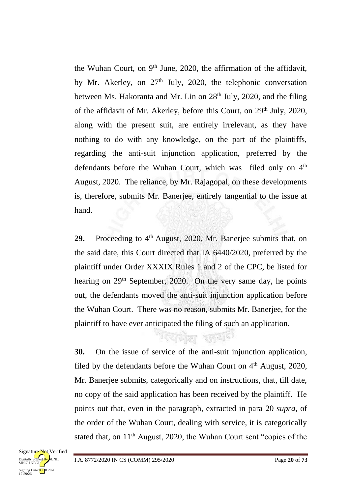the Wuhan Court, on 9<sup>th</sup> June, 2020, the affirmation of the affidavit, by Mr. Akerley, on 27<sup>th</sup> July, 2020, the telephonic conversation between Ms. Hakoranta and Mr. Lin on  $28<sup>th</sup>$  July, 2020, and the filing of the affidavit of Mr. Akerley, before this Court, on 29<sup>th</sup> July, 2020, along with the present suit, are entirely irrelevant, as they have nothing to do with any knowledge, on the part of the plaintiffs, regarding the anti-suit injunction application, preferred by the defendants before the Wuhan Court, which was filed only on 4<sup>th</sup> August, 2020. The reliance, by Mr. Rajagopal, on these developments is, therefore, submits Mr. Banerjee, entirely tangential to the issue at hand.

29. Proceeding to 4<sup>th</sup> August, 2020, Mr. Banerjee submits that, on the said date, this Court directed that IA 6440/2020, preferred by the plaintiff under Order XXXIX Rules 1 and 2 of the CPC, be listed for hearing on  $29<sup>th</sup>$  September, 2020. On the very same day, he points out, the defendants moved the anti-suit injunction application before the Wuhan Court. There was no reason, submits Mr. Banerjee, for the plaintiff to have ever anticipated the filing of such an application.

ব্দোল জয<sup>়া</sup>

**30.** On the issue of service of the anti-suit injunction application, filed by the defendants before the Wuhan Court on  $4<sup>th</sup>$  August, 2020, Mr. Banerjee submits, categorically and on instructions, that, till date, no copy of the said application has been received by the plaintiff. He points out that, even in the paragraph, extracted in para 20 *supra*, of the order of the Wuhan Court, dealing with service, it is categorically stated that, on  $11<sup>th</sup>$  August, 2020, the Wuhan Court sent "copies of the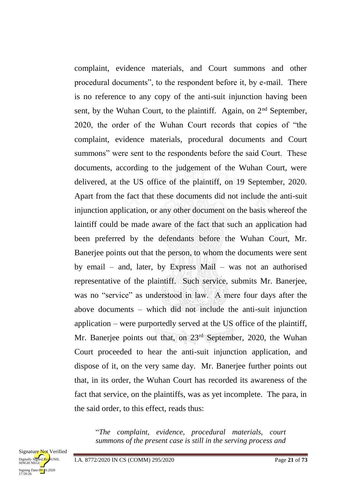complaint, evidence materials, and Court summons and other procedural documents", to the respondent before it, by e-mail. There is no reference to any copy of the anti-suit injunction having been sent, by the Wuhan Court, to the plaintiff. Again, on 2<sup>nd</sup> September, 2020, the order of the Wuhan Court records that copies of "the complaint, evidence materials, procedural documents and Court summons" were sent to the respondents before the said Court. These documents, according to the judgement of the Wuhan Court, were delivered, at the US office of the plaintiff, on 19 September, 2020. Apart from the fact that these documents did not include the anti-suit injunction application, or any other document on the basis whereof the laintiff could be made aware of the fact that such an application had been preferred by the defendants before the Wuhan Court, Mr. Banerjee points out that the person, to whom the documents were sent by email – and, later, by Express Mail – was not an authorised representative of the plaintiff. Such service, submits Mr. Banerjee, was no "service" as understood in law. A mere four days after the above documents – which did not include the anti-suit injunction application – were purportedly served at the US office of the plaintiff, Mr. Banerjee points out that, on 23<sup>rd</sup> September, 2020, the Wuhan Court proceeded to hear the anti-suit injunction application, and dispose of it, on the very same day. Mr. Banerjee further points out that, in its order, the Wuhan Court has recorded its awareness of the fact that service, on the plaintiffs, was as yet incomplete. The para, in the said order, to this effect, reads thus:

"*The complaint, evidence, procedural materials, court summons of the present case is still in the serving process and*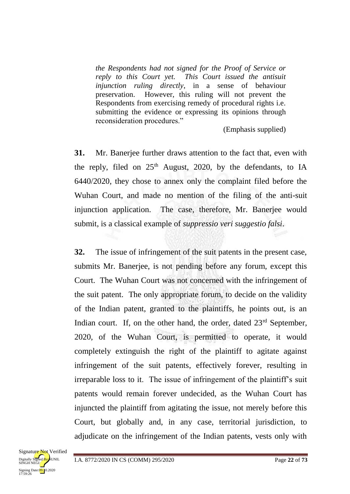*the Respondents had not signed for the Proof of Service or reply to this Court yet. This Court issued the antisuit injunction ruling directly*, in a sense of behaviour preservation. However, this ruling will not prevent the Respondents from exercising remedy of procedural rights i.e. submitting the evidence or expressing its opinions through reconsideration procedures."

(Emphasis supplied)

**31.** Mr. Banerjee further draws attention to the fact that, even with the reply, filed on  $25<sup>th</sup>$  August, 2020, by the defendants, to IA 6440/2020, they chose to annex only the complaint filed before the Wuhan Court, and made no mention of the filing of the anti-suit injunction application. The case, therefore, Mr. Banerjee would submit, is a classical example of *suppressio veri suggestio falsi*.

**32.** The issue of infringement of the suit patents in the present case, submits Mr. Banerjee, is not pending before any forum, except this Court. The Wuhan Court was not concerned with the infringement of the suit patent. The only appropriate forum, to decide on the validity of the Indian patent, granted to the plaintiffs, he points out, is an Indian court. If, on the other hand, the order, dated  $23<sup>rd</sup>$  September, 2020, of the Wuhan Court, is permitted to operate, it would completely extinguish the right of the plaintiff to agitate against infringement of the suit patents, effectively forever, resulting in irreparable loss to it. The issue of infringement of the plaintiff's suit patents would remain forever undecided, as the Wuhan Court has injuncted the plaintiff from agitating the issue, not merely before this Court, but globally and, in any case, territorial jurisdiction, to adjudicate on the infringement of the Indian patents, vests only with

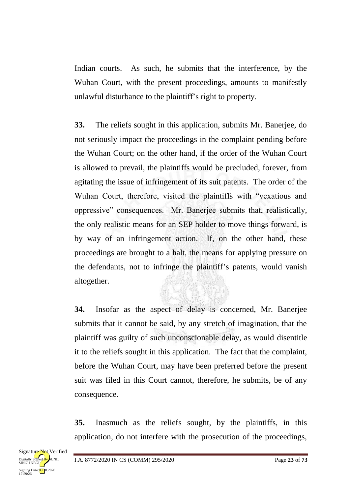Indian courts. As such, he submits that the interference, by the Wuhan Court, with the present proceedings, amounts to manifestly unlawful disturbance to the plaintiff's right to property.

**33.** The reliefs sought in this application, submits Mr. Banerjee, do not seriously impact the proceedings in the complaint pending before the Wuhan Court; on the other hand, if the order of the Wuhan Court is allowed to prevail, the plaintiffs would be precluded, forever, from agitating the issue of infringement of its suit patents. The order of the Wuhan Court, therefore, visited the plaintiffs with "vexatious and oppressive" consequences. Mr. Banerjee submits that, realistically, the only realistic means for an SEP holder to move things forward, is by way of an infringement action. If, on the other hand, these proceedings are brought to a halt, the means for applying pressure on the defendants, not to infringe the plaintiff's patents, would vanish altogether.

**34.** Insofar as the aspect of delay is concerned, Mr. Banerjee submits that it cannot be said, by any stretch of imagination, that the plaintiff was guilty of such unconscionable delay, as would disentitle it to the reliefs sought in this application. The fact that the complaint, before the Wuhan Court, may have been preferred before the present suit was filed in this Court cannot, therefore, he submits, be of any consequence.

**35.** Inasmuch as the reliefs sought, by the plaintiffs, in this application, do not interfere with the prosecution of the proceedings,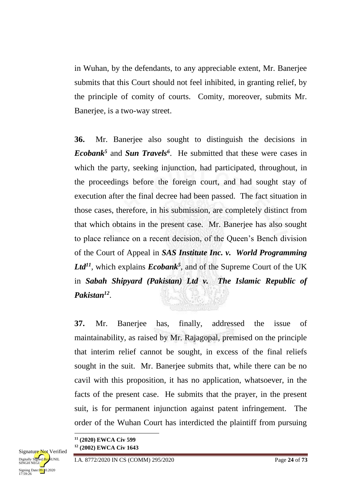in Wuhan, by the defendants, to any appreciable extent, Mr. Banerjee submits that this Court should not feel inhibited, in granting relief, by the principle of comity of courts. Comity, moreover, submits Mr. Banerjee, is a two-way street.

**36.** Mr. Banerjee also sought to distinguish the decisions in *Ecobank<sup>5</sup>* and *Sun Travels<sup>6</sup>* . He submitted that these were cases in which the party, seeking injunction, had participated, throughout, in the proceedings before the foreign court, and had sought stay of execution after the final decree had been passed. The fact situation in those cases, therefore, in his submission, are completely distinct from that which obtains in the present case. Mr. Banerjee has also sought to place reliance on a recent decision, of the Queen's Bench division of the Court of Appeal in *SAS Institute Inc. v. World Programming*  Ltd<sup>11</sup>, which explains *Ecobank*<sup>5</sup>, and of the Supreme Court of the UK in *Sabah Shipyard (Pakistan) Ltd v. The Islamic Republic of Pakistan<sup>12</sup>* .

**37.** Mr. Banerjee has, finally, addressed the issue of maintainability, as raised by Mr. Rajagopal, premised on the principle that interim relief cannot be sought, in excess of the final reliefs sought in the suit. Mr. Banerjee submits that, while there can be no cavil with this proposition, it has no application, whatsoever, in the facts of the present case. He submits that the prayer, in the present suit, is for permanent injunction against patent infringement. The order of the Wuhan Court has interdicted the plaintiff from pursuing

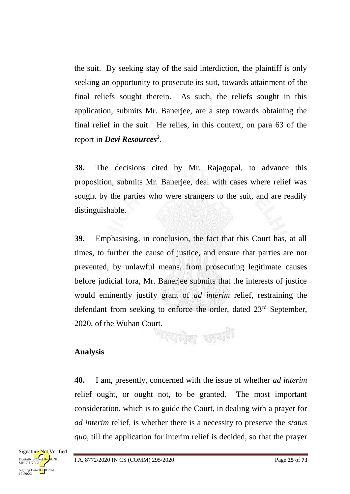the suit. By seeking stay of the said interdiction, the plaintiff is only seeking an opportunity to prosecute its suit, towards attainment of the final reliefs sought therein. As such, the reliefs sought in this application, submits Mr. Banerjee, are a step towards obtaining the final relief in the suit. He relies, in this context, on para 63 of the report in *Devi Resources<sup>2</sup>* .

**38.** The decisions cited by Mr. Rajagopal, to advance this proposition, submits Mr. Banerjee, deal with cases where relief was sought by the parties who were strangers to the suit, and are readily distinguishable.

**39.** Emphasising, in conclusion, the fact that this Court has, at all times, to further the cause of justice, and ensure that parties are not prevented, by unlawful means, from prosecuting legitimate causes before judicial fora, Mr. Banerjee submits that the interests of justice would eminently justify grant of *ad interim* relief, restraining the defendant from seeking to enforce the order, dated 23<sup>rd</sup> September, 2020, of the Wuhan Court. দৈদ্যনীল জাতা<sup>ই।</sup>

# **Analysis**

**40.** I am, presently, concerned with the issue of whether *ad interim* relief ought, or ought not, to be granted. The most important consideration, which is to guide the Court, in dealing with a prayer for *ad interim* relief, is whether there is a necessity to preserve the *status quo*, till the application for interim relief is decided, so that the prayer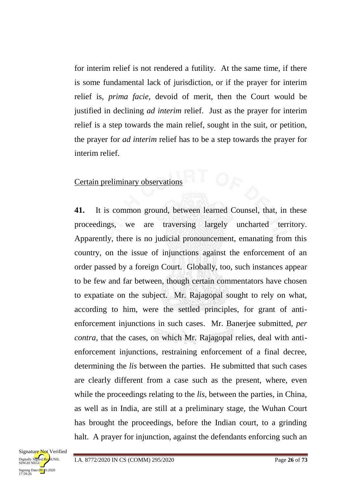for interim relief is not rendered a futility. At the same time, if there is some fundamental lack of jurisdiction, or if the prayer for interim relief is, *prima facie*, devoid of merit, then the Court would be justified in declining *ad interim* relief. Just as the prayer for interim relief is a step towards the main relief, sought in the suit, or petition, the prayer for *ad interim* relief has to be a step towards the prayer for interim relief.

### Certain preliminary observations

**41.** It is common ground, between learned Counsel, that, in these proceedings, we are traversing largely uncharted territory. Apparently, there is no judicial pronouncement, emanating from this country, on the issue of injunctions against the enforcement of an order passed by a foreign Court. Globally, too, such instances appear to be few and far between, though certain commentators have chosen to expatiate on the subject. Mr. Rajagopal sought to rely on what, according to him, were the settled principles, for grant of antienforcement injunctions in such cases. Mr. Banerjee submitted, *per contra*, that the cases, on which Mr. Rajagopal relies, deal with antienforcement injunctions, restraining enforcement of a final decree, determining the *lis* between the parties. He submitted that such cases are clearly different from a case such as the present, where, even while the proceedings relating to the *lis*, between the parties, in China, as well as in India, are still at a preliminary stage, the Wuhan Court has brought the proceedings, before the Indian court, to a grinding halt. A prayer for injunction, against the defendants enforcing such an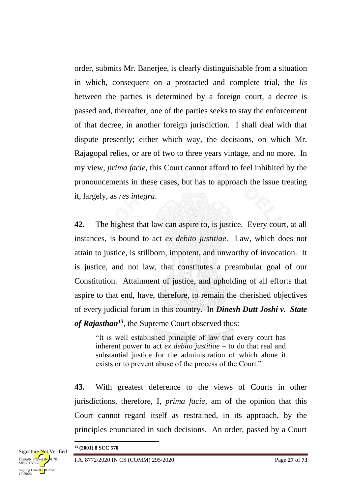order, submits Mr. Banerjee, is clearly distinguishable from a situation in which, consequent on a protracted and complete trial, the *lis*  between the parties is determined by a foreign court, a decree is passed and, thereafter, one of the parties seeks to stay the enforcement of that decree, in another foreign jurisdiction. I shall deal with that dispute presently; either which way, the decisions, on which Mr. Rajagopal relies, or are of two to three years vintage, and no more. In my view, *prima facie*, this Court cannot afford to feel inhibited by the pronouncements in these cases, but has to approach the issue treating it, largely, as *res integra*.

**42.** The highest that law can aspire to, is justice. Every court, at all instances, is bound to act *ex debito justitiae*. Law, which does not attain to justice, is stillborn, impotent, and unworthy of invocation. It is justice, and not law, that constitutes a preambular goal of our Constitution. Attainment of justice, and upholding of all efforts that aspire to that end, have, therefore, to remain the cherished objectives of every judicial forum in this country. In *Dinesh Dutt Joshi v. State of Rajasthan<sup>13</sup>*, the Supreme Court observed thus:

"It is well established principle of law that every court has inherent power to act *ex debito justitiae –* to do that real and substantial justice for the administration of which alone it exists or to prevent abuse of the process of the Court."

**43.** With greatest deference to the views of Courts in other jurisdictions, therefore, I, *prima facie*, am of the opinion that this Court cannot regard itself as restrained, in its approach, by the principles enunciated in such decisions. An order, passed by a Court

<sup>1</sup> **<sup>13</sup> (2001) 8 SCC 570**

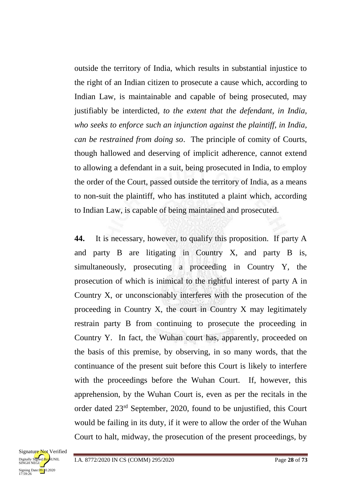outside the territory of India, which results in substantial injustice to the right of an Indian citizen to prosecute a cause which, according to Indian Law, is maintainable and capable of being prosecuted, may justifiably be interdicted, *to the extent that the defendant, in India, who seeks to enforce such an injunction against the plaintiff, in India, can be restrained from doing so*. The principle of comity of Courts, though hallowed and deserving of implicit adherence, cannot extend to allowing a defendant in a suit, being prosecuted in India, to employ the order of the Court, passed outside the territory of India, as a means to non-suit the plaintiff, who has instituted a plaint which, according to Indian Law, is capable of being maintained and prosecuted.

**44.** It is necessary, however, to qualify this proposition. If party A and party B are litigating in Country X, and party B is, simultaneously, prosecuting a proceeding in Country Y, the prosecution of which is inimical to the rightful interest of party A in Country X, or unconscionably interferes with the prosecution of the proceeding in Country X, the court in Country X may legitimately restrain party B from continuing to prosecute the proceeding in Country Y. In fact, the Wuhan court has, apparently, proceeded on the basis of this premise, by observing, in so many words, that the continuance of the present suit before this Court is likely to interfere with the proceedings before the Wuhan Court. If, however, this apprehension, by the Wuhan Court is, even as per the recitals in the order dated 23rd September, 2020, found to be unjustified, this Court would be failing in its duty, if it were to allow the order of the Wuhan Court to halt, midway, the prosecution of the present proceedings, by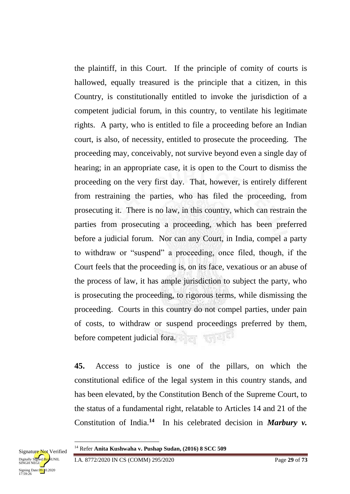the plaintiff, in this Court. If the principle of comity of courts is hallowed, equally treasured is the principle that a citizen, in this Country, is constitutionally entitled to invoke the jurisdiction of a competent judicial forum, in this country, to ventilate his legitimate rights. A party, who is entitled to file a proceeding before an Indian court, is also, of necessity, entitled to prosecute the proceeding. The proceeding may, conceivably, not survive beyond even a single day of hearing; in an appropriate case, it is open to the Court to dismiss the proceeding on the very first day. That, however, is entirely different from restraining the parties, who has filed the proceeding, from prosecuting it. There is no law, in this country, which can restrain the parties from prosecuting a proceeding, which has been preferred before a judicial forum. Nor can any Court, in India, compel a party to withdraw or "suspend" a proceeding, once filed, though, if the Court feels that the proceeding is, on its face, vexatious or an abuse of the process of law, it has ample jurisdiction to subject the party, who is prosecuting the proceeding, to rigorous terms, while dismissing the proceeding. Courts in this country do not compel parties, under pain of costs, to withdraw or suspend proceedings preferred by them, before competent judicial fora.

**45.** Access to justice is one of the pillars, on which the constitutional edifice of the legal system in this country stands, and has been elevated, by the Constitution Bench of the Supreme Court, to the status of a fundamental right, relatable to Articles 14 and 21 of the Constitution of India.<sup>14</sup> In his celebrated decision in *Marbury v*.



**.** 

<sup>14</sup> Refer **Anita Kushwaha v. Pushap Sudan, (2016) 8 SCC 509**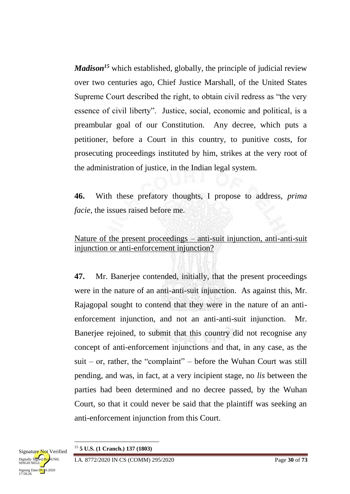*Madison*<sup>15</sup> which established, globally, the principle of judicial review over two centuries ago, Chief Justice Marshall, of the United States Supreme Court described the right, to obtain civil redress as "the very essence of civil liberty". Justice, social, economic and political, is a preambular goal of our Constitution. Any decree, which puts a petitioner, before a Court in this country, to punitive costs, for prosecuting proceedings instituted by him, strikes at the very root of the administration of justice, in the Indian legal system.

**46.** With these prefatory thoughts, I propose to address, *prima facie*, the issues raised before me.

Nature of the present proceedings – anti-suit injunction, anti-anti-suit injunction or anti-enforcement injunction?

**47.** Mr. Banerjee contended, initially, that the present proceedings were in the nature of an anti-anti-suit injunction. As against this, Mr. Rajagopal sought to contend that they were in the nature of an antienforcement injunction, and not an anti-anti-suit injunction. Mr. Banerjee rejoined, to submit that this country did not recognise any concept of anti-enforcement injunctions and that, in any case, as the  $suit - or$ , rather, the "complaint" – before the Wuhan Court was still pending, and was, in fact, at a very incipient stage, no *lis* between the parties had been determined and no decree passed, by the Wuhan Court, so that it could never be said that the plaintiff was seeking an anti-enforcement injunction from this Court.



**.**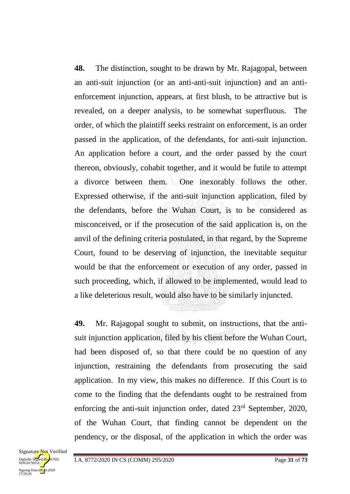**48.** The distinction, sought to be drawn by Mr. Rajagopal, between an anti-suit injunction (or an anti-anti-suit injunction) and an antienforcement injunction, appears, at first blush, to be attractive but is revealed, on a deeper analysis, to be somewhat superfluous. The order, of which the plaintiff seeks restraint on enforcement, is an order passed in the application, of the defendants, for anti-suit injunction. An application before a court, and the order passed by the court thereon, obviously, cohabit together, and it would be futile to attempt a divorce between them. One inexorably follows the other. Expressed otherwise, if the anti-suit injunction application, filed by the defendants, before the Wuhan Court, is to be considered as misconceived, or if the prosecution of the said application is, on the anvil of the defining criteria postulated, in that regard, by the Supreme Court, found to be deserving of injunction, the inevitable sequitur would be that the enforcement or execution of any order, passed in such proceeding, which, if allowed to be implemented, would lead to a like deleterious result, would also have to be similarly injuncted.

**49.** Mr. Rajagopal sought to submit, on instructions, that the antisuit injunction application, filed by his client before the Wuhan Court, had been disposed of, so that there could be no question of any injunction, restraining the defendants from prosecuting the said application. In my view, this makes no difference. If this Court is to come to the finding that the defendants ought to be restrained from enforcing the anti-suit injunction order, dated 23<sup>rd</sup> September, 2020, of the Wuhan Court, that finding cannot be dependent on the pendency, or the disposal, of the application in which the order was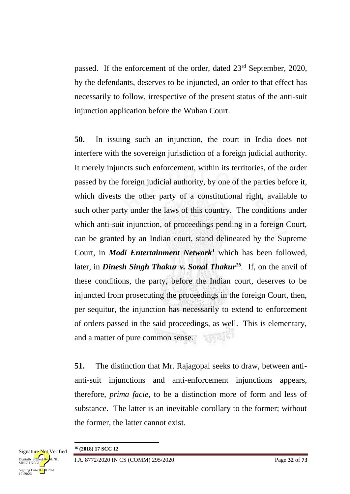passed. If the enforcement of the order, dated 23rd September, 2020, by the defendants, deserves to be injuncted, an order to that effect has necessarily to follow, irrespective of the present status of the anti-suit injunction application before the Wuhan Court.

**50.** In issuing such an injunction, the court in India does not interfere with the sovereign jurisdiction of a foreign judicial authority. It merely injuncts such enforcement, within its territories, of the order passed by the foreign judicial authority, by one of the parties before it, which divests the other party of a constitutional right, available to such other party under the laws of this country. The conditions under which anti-suit injunction, of proceedings pending in a foreign Court, can be granted by an Indian court, stand delineated by the Supreme Court, in *Modi Entertainment Network<sup>1</sup>* which has been followed, later, in *Dinesh Singh Thakur v. Sonal Thakur<sup>16</sup>.* If, on the anvil of these conditions, the party, before the Indian court, deserves to be injuncted from prosecuting the proceedings in the foreign Court, then, per sequitur, the injunction has necessarily to extend to enforcement of orders passed in the said proceedings, as well. This is elementary, **RAPIKI** and a matter of pure common sense.

**51.** The distinction that Mr. Rajagopal seeks to draw, between antianti-suit injunctions and anti-enforcement injunctions appears, therefore, *prima facie*, to be a distinction more of form and less of substance. The latter is an inevitable corollary to the former; without the former, the latter cannot exist.



1 **<sup>16</sup> (2018) 17 SCC 12**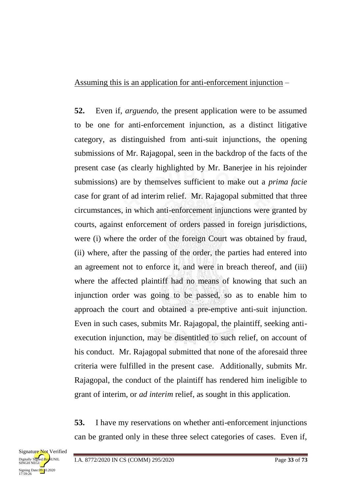#### Assuming this is an application for anti-enforcement injunction –

**52.** Even if, *arguendo*, the present application were to be assumed to be one for anti-enforcement injunction, as a distinct litigative category, as distinguished from anti-suit injunctions, the opening submissions of Mr. Rajagopal, seen in the backdrop of the facts of the present case (as clearly highlighted by Mr. Banerjee in his rejoinder submissions) are by themselves sufficient to make out a *prima facie* case for grant of ad interim relief. Mr. Rajagopal submitted that three circumstances, in which anti-enforcement injunctions were granted by courts, against enforcement of orders passed in foreign jurisdictions, were (i) where the order of the foreign Court was obtained by fraud, (ii) where, after the passing of the order, the parties had entered into an agreement not to enforce it, and were in breach thereof, and (iii) where the affected plaintiff had no means of knowing that such an injunction order was going to be passed, so as to enable him to approach the court and obtained a pre-emptive anti-suit injunction. Even in such cases, submits Mr. Rajagopal, the plaintiff, seeking antiexecution injunction, may be disentitled to such relief, on account of his conduct. Mr. Rajagopal submitted that none of the aforesaid three criteria were fulfilled in the present case. Additionally, submits Mr. Rajagopal, the conduct of the plaintiff has rendered him ineligible to grant of interim, or *ad interim* relief, as sought in this application.

**53.** I have my reservations on whether anti-enforcement injunctions can be granted only in these three select categories of cases. Even if,

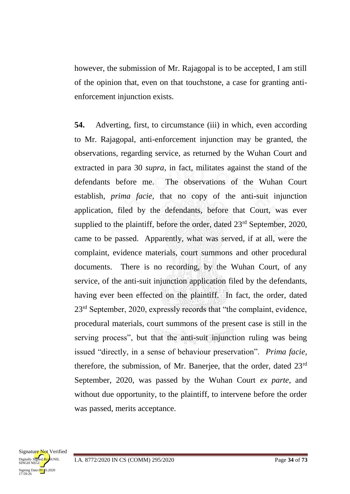however, the submission of Mr. Rajagopal is to be accepted, I am still of the opinion that, even on that touchstone, a case for granting antienforcement injunction exists.

**54.** Adverting, first, to circumstance (iii) in which, even according to Mr. Rajagopal, anti-enforcement injunction may be granted, the observations, regarding service, as returned by the Wuhan Court and extracted in para 30 *supra*, in fact, militates against the stand of the defendants before me. The observations of the Wuhan Court establish, *prima facie*, that no copy of the anti-suit injunction application, filed by the defendants, before that Court, was ever supplied to the plaintiff, before the order, dated  $23<sup>rd</sup>$  September, 2020, came to be passed. Apparently, what was served, if at all, were the complaint, evidence materials, court summons and other procedural documents. There is no recording, by the Wuhan Court, of any service, of the anti-suit injunction application filed by the defendants, having ever been effected on the plaintiff. In fact, the order, dated 23<sup>rd</sup> September, 2020, expressly records that "the complaint, evidence, procedural materials, court summons of the present case is still in the serving process", but that the anti-suit injunction ruling was being issued "directly, in a sense of behaviour preservation". *Prima facie*, therefore, the submission, of Mr. Banerjee, that the order, dated  $23<sup>rd</sup>$ September, 2020, was passed by the Wuhan Court *ex parte*, and without due opportunity, to the plaintiff, to intervene before the order was passed, merits acceptance.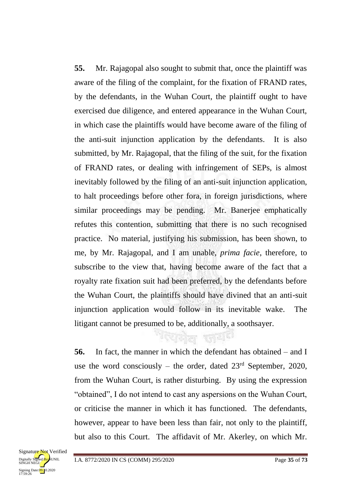**55.** Mr. Rajagopal also sought to submit that, once the plaintiff was aware of the filing of the complaint, for the fixation of FRAND rates, by the defendants, in the Wuhan Court, the plaintiff ought to have exercised due diligence, and entered appearance in the Wuhan Court, in which case the plaintiffs would have become aware of the filing of the anti-suit injunction application by the defendants. It is also submitted, by Mr. Rajagopal, that the filing of the suit, for the fixation of FRAND rates, or dealing with infringement of SEPs, is almost inevitably followed by the filing of an anti-suit injunction application, to halt proceedings before other fora, in foreign jurisdictions, where similar proceedings may be pending. Mr. Banerjee emphatically refutes this contention, submitting that there is no such recognised practice. No material, justifying his submission, has been shown, to me, by Mr. Rajagopal, and I am unable, *prima facie*, therefore, to subscribe to the view that, having become aware of the fact that a royalty rate fixation suit had been preferred, by the defendants before the Wuhan Court, the plaintiffs should have divined that an anti-suit injunction application would follow in its inevitable wake. The litigant cannot be presumed to be, additionally, a soothsayer.

**56.** In fact, the manner in which the defendant has obtained – and I use the word consciously – the order, dated  $23<sup>rd</sup>$  September, 2020, from the Wuhan Court, is rather disturbing. By using the expression "obtained", I do not intend to cast any aspersions on the Wuhan Court, or criticise the manner in which it has functioned. The defendants, however, appear to have been less than fair, not only to the plaintiff, but also to this Court. The affidavit of Mr. Akerley, on which Mr.

गरमहोता स्त्रवादी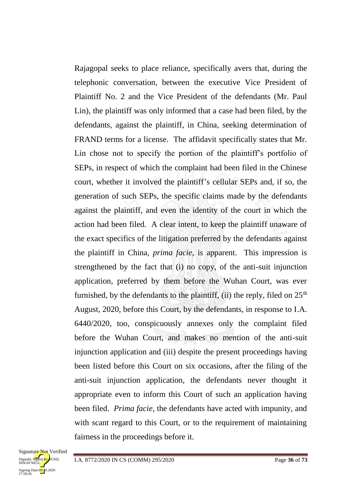Rajagopal seeks to place reliance, specifically avers that, during the telephonic conversation, between the executive Vice President of Plaintiff No. 2 and the Vice President of the defendants (Mr. Paul Lin), the plaintiff was only informed that a case had been filed, by the defendants, against the plaintiff, in China, seeking determination of FRAND terms for a license. The affidavit specifically states that Mr. Lin chose not to specify the portion of the plaintiff's portfolio of SEPs, in respect of which the complaint had been filed in the Chinese court, whether it involved the plaintiff's cellular SEPs and, if so, the generation of such SEPs, the specific claims made by the defendants against the plaintiff, and even the identity of the court in which the action had been filed. A clear intent, to keep the plaintiff unaware of the exact specifics of the litigation preferred by the defendants against the plaintiff in China, *prima facie*, is apparent. This impression is strengthened by the fact that (i) no copy, of the anti-suit injunction application, preferred by them before the Wuhan Court, was ever furnished, by the defendants to the plaintiff, (ii) the reply, filed on  $25<sup>th</sup>$ August, 2020, before this Court, by the defendants, in response to I.A. 6440/2020, too, conspicuously annexes only the complaint filed before the Wuhan Court, and makes no mention of the anti-suit injunction application and (iii) despite the present proceedings having been listed before this Court on six occasions, after the filing of the anti-suit injunction application, the defendants never thought it appropriate even to inform this Court of such an application having been filed. *Prima facie*, the defendants have acted with impunity, and with scant regard to this Court, or to the requirement of maintaining fairness in the proceedings before it.

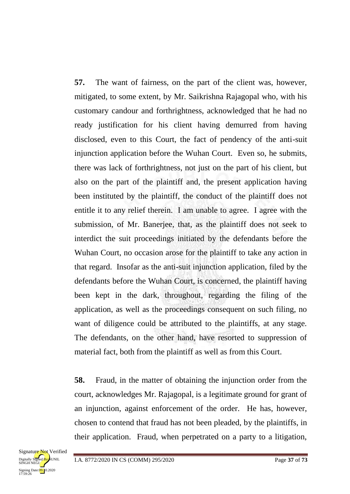**57.** The want of fairness, on the part of the client was, however, mitigated, to some extent, by Mr. Saikrishna Rajagopal who, with his customary candour and forthrightness, acknowledged that he had no ready justification for his client having demurred from having disclosed, even to this Court, the fact of pendency of the anti-suit injunction application before the Wuhan Court. Even so, he submits, there was lack of forthrightness, not just on the part of his client, but also on the part of the plaintiff and, the present application having been instituted by the plaintiff, the conduct of the plaintiff does not entitle it to any relief therein. I am unable to agree. I agree with the submission, of Mr. Banerjee, that, as the plaintiff does not seek to interdict the suit proceedings initiated by the defendants before the Wuhan Court, no occasion arose for the plaintiff to take any action in that regard. Insofar as the anti-suit injunction application, filed by the defendants before the Wuhan Court, is concerned, the plaintiff having been kept in the dark, throughout, regarding the filing of the application, as well as the proceedings consequent on such filing, no want of diligence could be attributed to the plaintiffs, at any stage. The defendants, on the other hand, have resorted to suppression of material fact, both from the plaintiff as well as from this Court.

**58.** Fraud, in the matter of obtaining the injunction order from the court, acknowledges Mr. Rajagopal, is a legitimate ground for grant of an injunction, against enforcement of the order. He has, however, chosen to contend that fraud has not been pleaded, by the plaintiffs, in their application. Fraud, when perpetrated on a party to a litigation,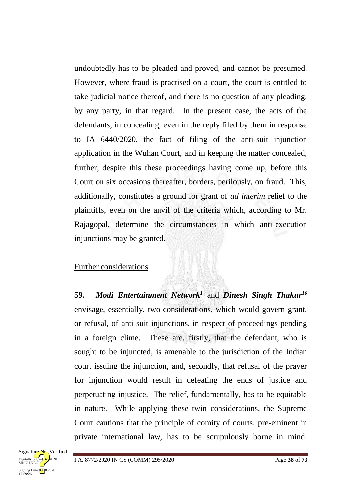undoubtedly has to be pleaded and proved, and cannot be presumed. However, where fraud is practised on a court, the court is entitled to take judicial notice thereof, and there is no question of any pleading, by any party, in that regard. In the present case, the acts of the defendants, in concealing, even in the reply filed by them in response to IA 6440/2020, the fact of filing of the anti-suit injunction application in the Wuhan Court, and in keeping the matter concealed, further, despite this these proceedings having come up, before this Court on six occasions thereafter, borders, perilously, on fraud. This, additionally, constitutes a ground for grant of *ad interim* relief to the plaintiffs, even on the anvil of the criteria which, according to Mr. Rajagopal, determine the circumstances in which anti-execution injunctions may be granted.

#### Further considerations

**59.** *Modi Entertainment Network<sup>1</sup>* and *Dinesh Singh Thakur<sup>16</sup>* envisage, essentially, two considerations, which would govern grant, or refusal, of anti-suit injunctions, in respect of proceedings pending in a foreign clime. These are, firstly, that the defendant, who is sought to be injuncted, is amenable to the jurisdiction of the Indian court issuing the injunction, and, secondly, that refusal of the prayer for injunction would result in defeating the ends of justice and perpetuating injustice. The relief, fundamentally, has to be equitable in nature. While applying these twin considerations, the Supreme Court cautions that the principle of comity of courts, pre-eminent in private international law, has to be scrupulously borne in mind.

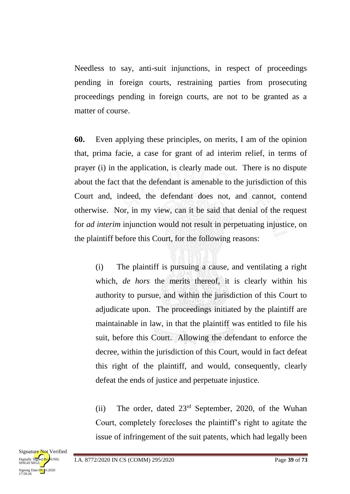Needless to say, anti-suit injunctions, in respect of proceedings pending in foreign courts, restraining parties from prosecuting proceedings pending in foreign courts, are not to be granted as a matter of course.

**60.** Even applying these principles, on merits, I am of the opinion that, prima facie, a case for grant of ad interim relief, in terms of prayer (i) in the application, is clearly made out. There is no dispute about the fact that the defendant is amenable to the jurisdiction of this Court and, indeed, the defendant does not, and cannot, contend otherwise. Nor, in my view, can it be said that denial of the request for *ad interim* injunction would not result in perpetuating injustice, on the plaintiff before this Court, for the following reasons:

(i) The plaintiff is pursuing a cause, and ventilating a right which, *de hors* the merits thereof, it is clearly within his authority to pursue, and within the jurisdiction of this Court to adjudicate upon. The proceedings initiated by the plaintiff are maintainable in law, in that the plaintiff was entitled to file his suit, before this Court. Allowing the defendant to enforce the decree, within the jurisdiction of this Court, would in fact defeat this right of the plaintiff, and would, consequently, clearly defeat the ends of justice and perpetuate injustice.

(ii) The order, dated 23rd September, 2020, of the Wuhan Court, completely forecloses the plaintiff's right to agitate the issue of infringement of the suit patents, which had legally been

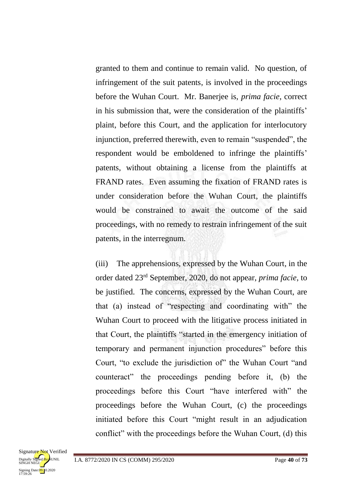granted to them and continue to remain valid. No question, of infringement of the suit patents, is involved in the proceedings before the Wuhan Court. Mr. Banerjee is, *prima facie*, correct in his submission that, were the consideration of the plaintiffs' plaint, before this Court, and the application for interlocutory injunction, preferred therewith, even to remain "suspended", the respondent would be emboldened to infringe the plaintiffs' patents, without obtaining a license from the plaintiffs at FRAND rates. Even assuming the fixation of FRAND rates is under consideration before the Wuhan Court, the plaintiffs would be constrained to await the outcome of the said proceedings, with no remedy to restrain infringement of the suit patents, in the interregnum.

(iii) The apprehensions, expressed by the Wuhan Court, in the order dated 23rd September, 2020, do not appear, *prima facie*, to be justified. The concerns, expressed by the Wuhan Court, are that (a) instead of "respecting and coordinating with" the Wuhan Court to proceed with the litigative process initiated in that Court, the plaintiffs "started in the emergency initiation of temporary and permanent injunction procedures" before this Court, "to exclude the jurisdiction of" the Wuhan Court "and counteract" the proceedings pending before it, (b) the proceedings before this Court "have interfered with" the proceedings before the Wuhan Court, (c) the proceedings initiated before this Court "might result in an adjudication conflict" with the proceedings before the Wuhan Court, (d) this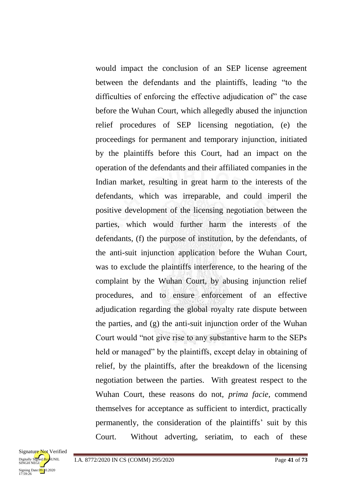would impact the conclusion of an SEP license agreement between the defendants and the plaintiffs, leading "to the difficulties of enforcing the effective adjudication of" the case before the Wuhan Court, which allegedly abused the injunction relief procedures of SEP licensing negotiation, (e) the proceedings for permanent and temporary injunction, initiated by the plaintiffs before this Court, had an impact on the operation of the defendants and their affiliated companies in the Indian market, resulting in great harm to the interests of the defendants, which was irreparable, and could imperil the positive development of the licensing negotiation between the parties, which would further harm the interests of the defendants, (f) the purpose of institution, by the defendants, of the anti-suit injunction application before the Wuhan Court, was to exclude the plaintiffs interference, to the hearing of the complaint by the Wuhan Court, by abusing injunction relief procedures, and to ensure enforcement of an effective adjudication regarding the global royalty rate dispute between the parties, and (g) the anti-suit injunction order of the Wuhan Court would "not give rise to any substantive harm to the SEPs held or managed" by the plaintiffs, except delay in obtaining of relief, by the plaintiffs, after the breakdown of the licensing negotiation between the parties. With greatest respect to the Wuhan Court, these reasons do not, *prima facie*, commend themselves for acceptance as sufficient to interdict, practically permanently, the consideration of the plaintiffs' suit by this Court. Without adverting, seriatim, to each of these

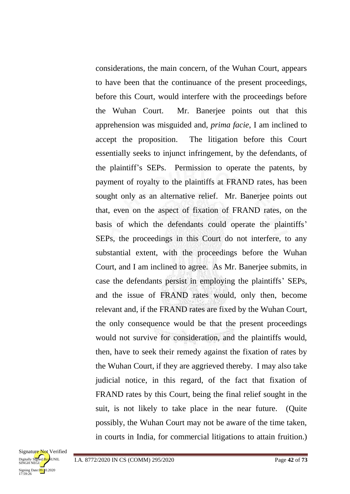considerations, the main concern, of the Wuhan Court, appears to have been that the continuance of the present proceedings, before this Court, would interfere with the proceedings before the Wuhan Court. Mr. Banerjee points out that this apprehension was misguided and, *prima facie*, I am inclined to accept the proposition. The litigation before this Court essentially seeks to injunct infringement, by the defendants, of the plaintiff's SEPs. Permission to operate the patents, by payment of royalty to the plaintiffs at FRAND rates, has been sought only as an alternative relief. Mr. Banerjee points out that, even on the aspect of fixation of FRAND rates, on the basis of which the defendants could operate the plaintiffs' SEPs, the proceedings in this Court do not interfere, to any substantial extent, with the proceedings before the Wuhan Court, and I am inclined to agree. As Mr. Banerjee submits, in case the defendants persist in employing the plaintiffs' SEPs, and the issue of FRAND rates would, only then, become relevant and, if the FRAND rates are fixed by the Wuhan Court, the only consequence would be that the present proceedings would not survive for consideration, and the plaintiffs would, then, have to seek their remedy against the fixation of rates by the Wuhan Court, if they are aggrieved thereby. I may also take judicial notice, in this regard, of the fact that fixation of FRAND rates by this Court, being the final relief sought in the suit, is not likely to take place in the near future. (Quite possibly, the Wuhan Court may not be aware of the time taken, in courts in India, for commercial litigations to attain fruition.)

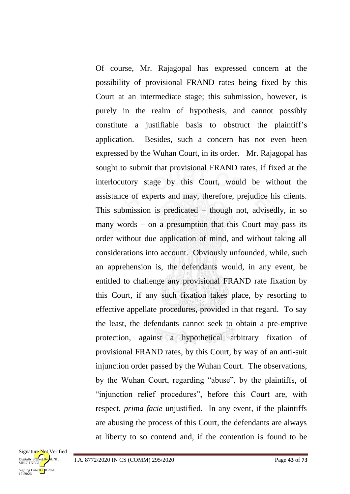Of course, Mr. Rajagopal has expressed concern at the possibility of provisional FRAND rates being fixed by this Court at an intermediate stage; this submission, however, is purely in the realm of hypothesis, and cannot possibly constitute a justifiable basis to obstruct the plaintiff's application. Besides, such a concern has not even been expressed by the Wuhan Court, in its order. Mr. Rajagopal has sought to submit that provisional FRAND rates, if fixed at the interlocutory stage by this Court, would be without the assistance of experts and may, therefore, prejudice his clients. This submission is predicated – though not, advisedly, in so many words – on a presumption that this Court may pass its order without due application of mind, and without taking all considerations into account. Obviously unfounded, while, such an apprehension is, the defendants would, in any event, be entitled to challenge any provisional FRAND rate fixation by this Court, if any such fixation takes place, by resorting to effective appellate procedures, provided in that regard. To say the least, the defendants cannot seek to obtain a pre-emptive protection, against a hypothetical arbitrary fixation of provisional FRAND rates, by this Court, by way of an anti-suit injunction order passed by the Wuhan Court. The observations, by the Wuhan Court, regarding "abuse", by the plaintiffs, of "injunction relief procedures", before this Court are, with respect, *prima facie* unjustified. In any event, if the plaintiffs are abusing the process of this Court, the defendants are always at liberty to so contend and, if the contention is found to be

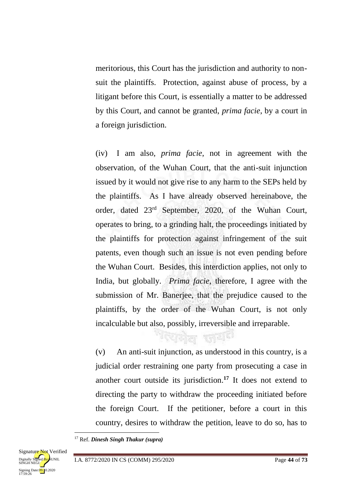meritorious, this Court has the jurisdiction and authority to nonsuit the plaintiffs. Protection, against abuse of process, by a litigant before this Court, is essentially a matter to be addressed by this Court, and cannot be granted, *prima facie*, by a court in a foreign jurisdiction.

(iv) I am also, *prima facie*, not in agreement with the observation, of the Wuhan Court, that the anti-suit injunction issued by it would not give rise to any harm to the SEPs held by the plaintiffs. As I have already observed hereinabove, the order, dated 23rd September, 2020, of the Wuhan Court, operates to bring, to a grinding halt, the proceedings initiated by the plaintiffs for protection against infringement of the suit patents, even though such an issue is not even pending before the Wuhan Court. Besides, this interdiction applies, not only to India, but globally. *Prima facie*, therefore, I agree with the submission of Mr. Banerjee, that the prejudice caused to the plaintiffs, by the order of the Wuhan Court, is not only incalculable but also, possibly, irreversible and irreparable.

(v) An anti-suit injunction, as understood in this country, is a judicial order restraining one party from prosecuting a case in another court outside its jurisdiction.**<sup>17</sup>** It does not extend to directing the party to withdraw the proceeding initiated before the foreign Court. If the petitioner, before a court in this country, desires to withdraw the petition, leave to do so, has to

ग्लिको<sub>ल सा</sub>द्या

<sup>17</sup> Ref. *Dinesh Singh Thakur (supra)*



1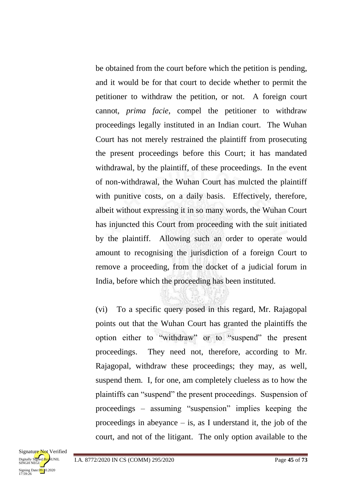be obtained from the court before which the petition is pending, and it would be for that court to decide whether to permit the petitioner to withdraw the petition, or not. A foreign court cannot, *prima facie*, compel the petitioner to withdraw proceedings legally instituted in an Indian court. The Wuhan Court has not merely restrained the plaintiff from prosecuting the present proceedings before this Court; it has mandated withdrawal, by the plaintiff, of these proceedings. In the event of non-withdrawal, the Wuhan Court has mulcted the plaintiff with punitive costs, on a daily basis. Effectively, therefore, albeit without expressing it in so many words, the Wuhan Court has injuncted this Court from proceeding with the suit initiated by the plaintiff. Allowing such an order to operate would amount to recognising the jurisdiction of a foreign Court to remove a proceeding, from the docket of a judicial forum in India, before which the proceeding has been instituted.

(vi) To a specific query posed in this regard, Mr. Rajagopal points out that the Wuhan Court has granted the plaintiffs the option either to "withdraw" or to "suspend" the present proceedings. They need not, therefore, according to Mr. Rajagopal, withdraw these proceedings; they may, as well, suspend them. I, for one, am completely clueless as to how the plaintiffs can "suspend" the present proceedings. Suspension of proceedings – assuming "suspension" implies keeping the proceedings in abeyance  $-$  is, as I understand it, the job of the court, and not of the litigant. The only option available to the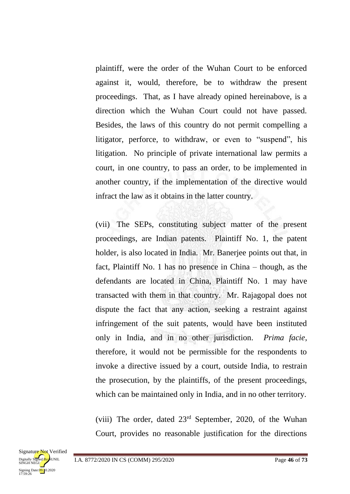plaintiff, were the order of the Wuhan Court to be enforced against it, would, therefore, be to withdraw the present proceedings. That, as I have already opined hereinabove, is a direction which the Wuhan Court could not have passed. Besides, the laws of this country do not permit compelling a litigator, perforce, to withdraw, or even to "suspend", his litigation. No principle of private international law permits a court, in one country, to pass an order, to be implemented in another country, if the implementation of the directive would infract the law as it obtains in the latter country.

(vii) The SEPs, constituting subject matter of the present proceedings, are Indian patents. Plaintiff No. 1, the patent holder, is also located in India. Mr. Banerjee points out that, in fact, Plaintiff No. 1 has no presence in China – though, as the defendants are located in China, Plaintiff No. 1 may have transacted with them in that country. Mr. Rajagopal does not dispute the fact that any action, seeking a restraint against infringement of the suit patents, would have been instituted only in India, and in no other jurisdiction. *Prima facie*, therefore, it would not be permissible for the respondents to invoke a directive issued by a court, outside India, to restrain the prosecution, by the plaintiffs, of the present proceedings, which can be maintained only in India, and in no other territory.

(viii) The order, dated 23rd September, 2020, of the Wuhan Court, provides no reasonable justification for the directions

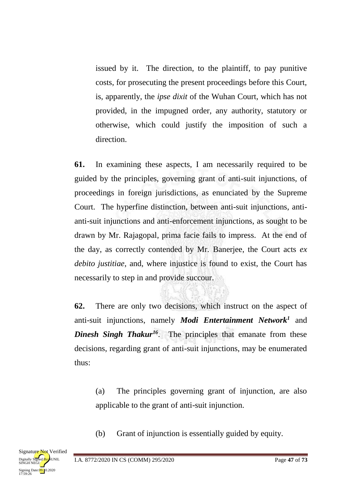issued by it. The direction, to the plaintiff, to pay punitive costs, for prosecuting the present proceedings before this Court, is, apparently, the *ipse dixit* of the Wuhan Court, which has not provided, in the impugned order, any authority, statutory or otherwise, which could justify the imposition of such a direction.

**61.** In examining these aspects, I am necessarily required to be guided by the principles, governing grant of anti-suit injunctions, of proceedings in foreign jurisdictions, as enunciated by the Supreme Court. The hyperfine distinction, between anti-suit injunctions, antianti-suit injunctions and anti-enforcement injunctions, as sought to be drawn by Mr. Rajagopal, prima facie fails to impress. At the end of the day, as correctly contended by Mr. Banerjee, the Court acts *ex debito justitiae*, and, where injustice is found to exist, the Court has necessarily to step in and provide succour.

**62.** There are only two decisions, which instruct on the aspect of anti-suit injunctions, namely *Modi Entertainment Network<sup>1</sup>* and *Dinesh Singh Thakur<sup>16</sup>*. The principles that emanate from these decisions, regarding grant of anti-suit injunctions, may be enumerated thus:

(a) The principles governing grant of injunction, are also applicable to the grant of anti-suit injunction.

(b) Grant of injunction is essentially guided by equity.

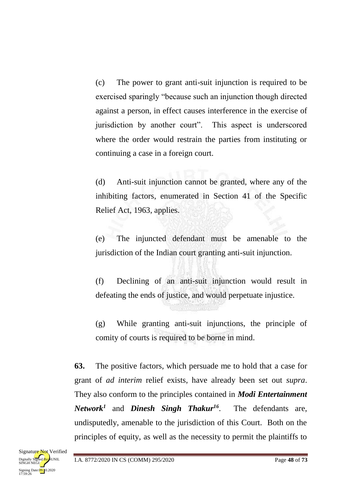(c) The power to grant anti-suit injunction is required to be exercised sparingly "because such an injunction though directed against a person, in effect causes interference in the exercise of jurisdiction by another court". This aspect is underscored where the order would restrain the parties from instituting or continuing a case in a foreign court.

(d) Anti-suit injunction cannot be granted, where any of the inhibiting factors, enumerated in Section 41 of the Specific Relief Act, 1963, applies.

(e) The injuncted defendant must be amenable to the jurisdiction of the Indian court granting anti-suit injunction.

(f) Declining of an anti-suit injunction would result in defeating the ends of justice, and would perpetuate injustice.

(g) While granting anti-suit injunctions, the principle of comity of courts is required to be borne in mind.

**63.** The positive factors, which persuade me to hold that a case for grant of *ad interim* relief exists, have already been set out *supra*. They also conform to the principles contained in *Modi Entertainment Network<sup>1</sup>* and *Dinesh Singh Thakur<sup>16</sup>*. The defendants are, undisputedly, amenable to the jurisdiction of this Court. Both on the principles of equity, as well as the necessity to permit the plaintiffs to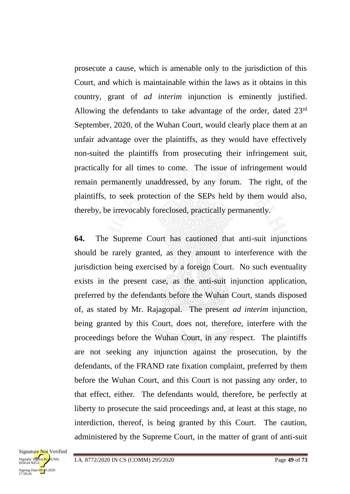prosecute a cause, which is amenable only to the jurisdiction of this Court, and which is maintainable within the laws as it obtains in this country, grant of *ad interim* injunction is eminently justified. Allowing the defendants to take advantage of the order, dated 23<sup>rd</sup> September, 2020, of the Wuhan Court, would clearly place them at an unfair advantage over the plaintiffs, as they would have effectively non-suited the plaintiffs from prosecuting their infringement suit, practically for all times to come. The issue of infringement would remain permanently unaddressed, by any forum. The right, of the plaintiffs, to seek protection of the SEPs held by them would also, thereby, be irrevocably foreclosed, practically permanently.

**64.** The Supreme Court has cautioned that anti-suit injunctions should be rarely granted, as they amount to interference with the jurisdiction being exercised by a foreign Court. No such eventuality exists in the present case, as the anti-suit injunction application, preferred by the defendants before the Wuhan Court, stands disposed of, as stated by Mr. Rajagopal. The present *ad interim* injunction, being granted by this Court, does not, therefore, interfere with the proceedings before the Wuhan Court, in any respect. The plaintiffs are not seeking any injunction against the prosecution, by the defendants, of the FRAND rate fixation complaint, preferred by them before the Wuhan Court, and this Court is not passing any order, to that effect, either. The defendants would, therefore, be perfectly at liberty to prosecute the said proceedings and, at least at this stage, no interdiction, thereof, is being granted by this Court. The caution, administered by the Supreme Court, in the matter of grant of anti-suit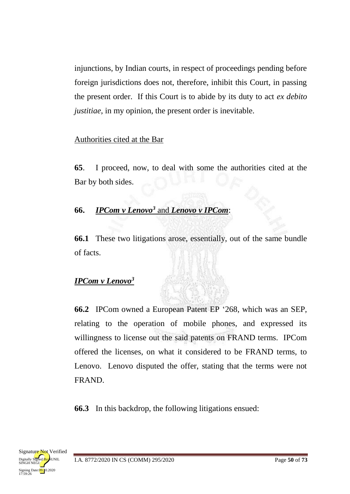injunctions, by Indian courts, in respect of proceedings pending before foreign jurisdictions does not, therefore, inhibit this Court, in passing the present order. If this Court is to abide by its duty to act *ex debito justitiae*, in my opinion, the present order is inevitable.

## Authorities cited at the Bar

**65**. I proceed, now, to deal with some the authorities cited at the Bar by both sides.

# **66.** *IPCom v Lenovo<sup>3</sup>* and *Lenovo v IPCom*:

**66.1** These two litigations arose, essentially, out of the same bundle of facts.

# *IPCom v Lenovo<sup>3</sup>*

**66.2** IPCom owned a European Patent EP '268, which was an SEP, relating to the operation of mobile phones, and expressed its willingness to license out the said patents on FRAND terms. IPCom offered the licenses, on what it considered to be FRAND terms, to Lenovo. Lenovo disputed the offer, stating that the terms were not FRAND.

**66.3** In this backdrop, the following litigations ensued:

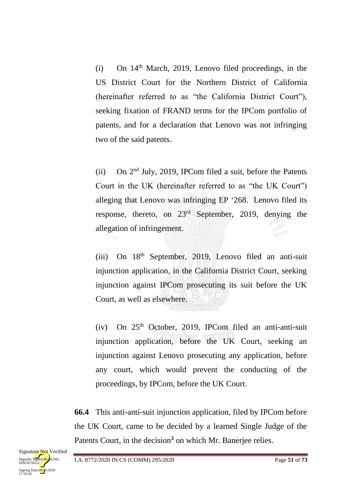$(i)$  On  $14<sup>th</sup>$  March, 2019, Lenovo filed proceedings, in the US District Court for the Northern District of California (hereinafter referred to as "the California District Court"), seeking fixation of FRAND terms for the IPCom portfolio of patents, and for a declaration that Lenovo was not infringing two of the said patents.

(ii) On 2nd July, 2019, IPCom filed a suit, before the Patents Court in the UK (hereinafter referred to as "the UK Court") alleging that Lenovo was infringing EP '268. Lenovo filed its response, thereto, on 23rd September, 2019, denying the allegation of infringement.

(iii) On 18th September, 2019, Lenovo filed an anti-suit injunction application, in the California District Court, seeking injunction against IPCom prosecuting its suit before the UK Court, as well as elsewhere.

(iv) On  $25<sup>th</sup>$  October, 2019, IPCom filed an anti-anti-suit injunction application, before the UK Court, seeking an injunction against Lenovo prosecuting any application, before any court, which would prevent the conducting of the proceedings, by IPCom, before the UK Court.

**66.4** This anti-anti-suit injunction application, filed by IPCom before the UK Court, came to be decided by a learned Single Judge of the Patents Court, in the decision**<sup>3</sup>** on which Mr. Banerjee relies.

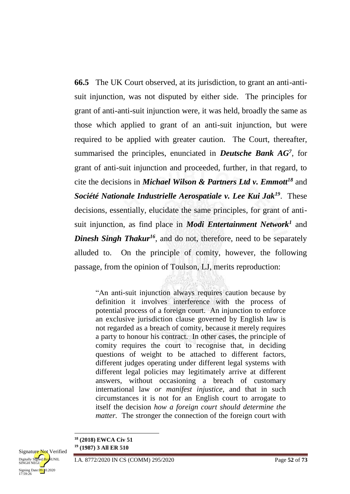**66.5** The UK Court observed, at its jurisdiction, to grant an anti-antisuit injunction, was not disputed by either side. The principles for grant of anti-anti-suit injunction were, it was held, broadly the same as those which applied to grant of an anti-suit injunction, but were required to be applied with greater caution. The Court, thereafter, summarised the principles, enunciated in *Deutsche Bank AG<sup>7</sup>* , for grant of anti-suit injunction and proceeded, further, in that regard, to cite the decisions in *Michael Wilson & Partners Ltd v. Emmott<sup>18</sup>* and *Société Nationale Industrielle Aerospatiale v. Lee Kui Jak<sup>19</sup>*. These decisions, essentially, elucidate the same principles, for grant of antisuit injunction, as find place in *Modi Entertainment Network<sup>1</sup>* and *Dinesh Singh Thakur<sup>16</sup>*, and do not, therefore, need to be separately alluded to. On the principle of comity, however, the following passage, from the opinion of Toulson, LJ, merits reproduction:

"An anti-suit injunction always requires caution because by definition it involves interference with the process of potential process of a foreign court. An injunction to enforce an exclusive jurisdiction clause governed by English law is not regarded as a breach of comity, because it merely requires a party to honour his contract. In other cases, the principle of comity requires the court to recognise that, in deciding questions of weight to be attached to different factors, different judges operating under different legal systems with different legal policies may legitimately arrive at different answers, without occasioning a breach of customary international law *or manifest injustice*, and that in such circumstances it is not for an English court to arrogate to itself the decision *how a foreign court should determine the matter.* The stronger the connection of the foreign court with

Signing Date: 09.10.2020<br>17:59:26

1

**<sup>18</sup> (2018) EWCA Civ 51**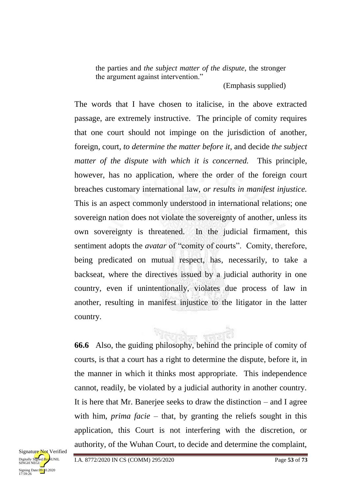the parties and *the subject matter of the dispute*, the stronger the argument against intervention."

(Emphasis supplied)

The words that I have chosen to italicise, in the above extracted passage, are extremely instructive. The principle of comity requires that one court should not impinge on the jurisdiction of another, foreign, court, *to determine the matter before it*, and decide *the subject matter of the dispute with which it is concerned.* This principle, however, has no application, where the order of the foreign court breaches customary international law, *or results in manifest injustice.*  This is an aspect commonly understood in international relations; one sovereign nation does not violate the sovereignty of another, unless its own sovereignty is threatened. In the judicial firmament, this sentiment adopts the *avatar* of "comity of courts". Comity, therefore, being predicated on mutual respect, has, necessarily, to take a backseat, where the directives issued by a judicial authority in one country, even if unintentionally, violates due process of law in another, resulting in manifest injustice to the litigator in the latter country.

**66.6** Also, the guiding philosophy, behind the principle of comity of courts, is that a court has a right to determine the dispute, before it, in the manner in which it thinks most appropriate. This independence cannot, readily, be violated by a judicial authority in another country. It is here that Mr. Banerjee seeks to draw the distinction – and I agree with him, *prima facie* – that, by granting the reliefs sought in this application, this Court is not interfering with the discretion, or authority, of the Wuhan Court, to decide and determine the complaint,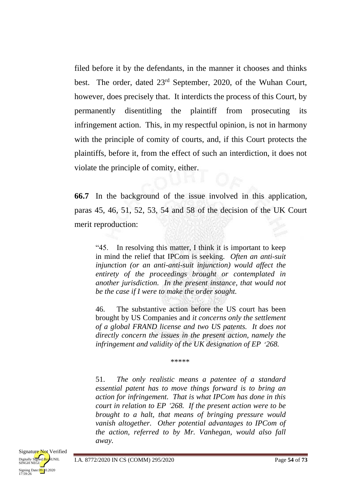filed before it by the defendants, in the manner it chooses and thinks best. The order, dated 23rd September, 2020, of the Wuhan Court, however, does precisely that. It interdicts the process of this Court, by permanently disentitling the plaintiff from prosecuting its infringement action. This, in my respectful opinion, is not in harmony with the principle of comity of courts, and, if this Court protects the plaintiffs, before it, from the effect of such an interdiction, it does not violate the principle of comity, either.

**66.7** In the background of the issue involved in this application, paras 45, 46, 51, 52, 53, 54 and 58 of the decision of the UK Court merit reproduction:

"45. In resolving this matter, I think it is important to keep in mind the relief that IPCom is seeking. *Often an anti-suit injunction (or an anti-anti-suit injunction) would affect the entirety of the proceedings brought or contemplated in another jurisdiction. In the present instance, that would not be the case if I were to make the order sought.*

46. The substantive action before the US court has been brought by US Companies and *it concerns only the settlement of a global FRAND license and two US patents. It does not directly concern the issues in the present action, namely the infringement and validity of the UK designation of EP* '*268.*

\*\*\*\*\*

51. *The only realistic means a patentee of a standard essential patent has to move things forward is to bring an action for infringement. That is what IPCom has done in this court in relation to EP '268. If the present action were to be brought to a halt, that means of bringing pressure would vanish altogether. Other potential advantages to IPCom of the action, referred to by Mr. Vanhegan, would also fall away.*

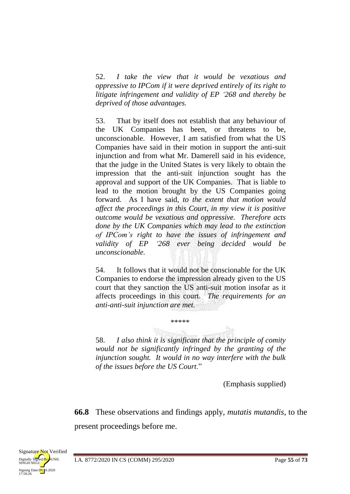52. *I take the view that it would be vexatious and oppressive to IPCom if it were deprived entirely of its right to litigate infringement and validity of EP '268 and thereby be deprived of those advantages.*

53. That by itself does not establish that any behaviour of the UK Companies has been, or threatens to be, unconscionable. However, I am satisfied from what the US Companies have said in their motion in support the anti-suit injunction and from what Mr. Damerell said in his evidence, that the judge in the United States is very likely to obtain the impression that the anti-suit injunction sought has the approval and support of the UK Companies. That is liable to lead to the motion brought by the US Companies going forward. As I have said, *to the extent that motion would affect the proceedings in this Court, in my view it is positive outcome would be vexatious and oppressive. Therefore acts done by the UK Companies which may lead to the extinction of IPCom's right to have the issues of infringement and validity of EP '268 ever being decided would be unconscionable.*

54. It follows that it would not be conscionable for the UK Companies to endorse the impression already given to the US court that they sanction the US anti-suit motion insofar as it affects proceedings in this court. *The requirements for an anti-anti-suit injunction are met.*

58. *I also think it is significant that the principle of comity would not be significantly infringed by the granting of the injunction sought. It would in no way interfere with the bulk of the issues before the US Court*."

\*\*\*\*\*

(Emphasis supplied)

**66.8** These observations and findings apply, *mutatis mutandis*, to the present proceedings before me.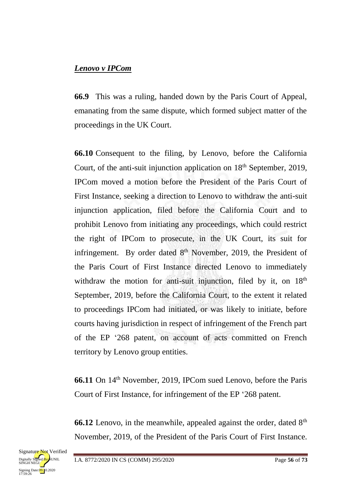#### *Lenovo v IPCom*

**66.9** This was a ruling, handed down by the Paris Court of Appeal, emanating from the same dispute, which formed subject matter of the proceedings in the UK Court.

**66.10** Consequent to the filing, by Lenovo, before the California Court, of the anti-suit injunction application on 18<sup>th</sup> September, 2019, IPCom moved a motion before the President of the Paris Court of First Instance, seeking a direction to Lenovo to withdraw the anti-suit injunction application, filed before the California Court and to prohibit Lenovo from initiating any proceedings, which could restrict the right of IPCom to prosecute, in the UK Court, its suit for infringement. By order dated 8<sup>th</sup> November, 2019, the President of the Paris Court of First Instance directed Lenovo to immediately withdraw the motion for anti-suit injunction, filed by it, on  $18<sup>th</sup>$ September, 2019, before the California Court, to the extent it related to proceedings IPCom had initiated, or was likely to initiate, before courts having jurisdiction in respect of infringement of the French part of the EP '268 patent, on account of acts committed on French territory by Lenovo group entities.

**66.11** On 14<sup>th</sup> November, 2019, IPCom sued Lenovo, before the Paris Court of First Instance, for infringement of the EP '268 patent.

**66.12** Lenovo, in the meanwhile, appealed against the order, dated  $8<sup>th</sup>$ November, 2019, of the President of the Paris Court of First Instance.

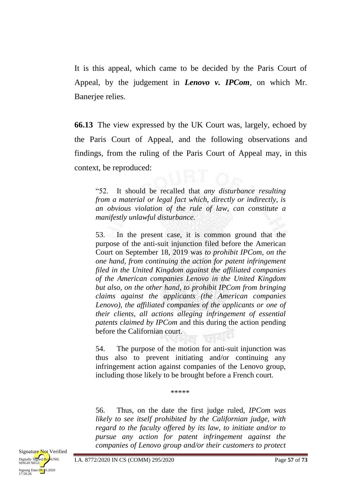It is this appeal, which came to be decided by the Paris Court of Appeal, by the judgement in *Lenovo v. IPCom*, on which Mr. Banerjee relies.

**66.13** The view expressed by the UK Court was, largely, echoed by the Paris Court of Appeal, and the following observations and findings, from the ruling of the Paris Court of Appeal may, in this context, be reproduced:

"52. It should be recalled that *any disturbance resulting from a material or legal fact which, directly or indirectly, is an obvious violation of the rule of law, can constitute a manifestly unlawful disturbance.*

53. In the present case, it is common ground that the purpose of the anti-suit injunction filed before the American Court on September 18, 2019 was *to prohibit IPCom, on the one hand, from continuing the action for patent infringement filed in the United Kingdom against the affiliated companies of the American companies Lenovo in the United Kingdom but also, on the other hand, to prohibit IPCom from bringing claims against the applicants (the American companies Lenovo), the affiliated companies of the applicants or one of their clients, all actions alleging infringement of essential patents claimed by IPCom* and this during the action pending before the Californian court. 재리시

54. The purpose of the motion for anti-suit injunction was thus also to prevent initiating and/or continuing any infringement action against companies of the Lenovo group, including those likely to be brought before a French court.

\*\*\*\*\*

56. Thus, on the date the first judge ruled, *IPCom was likely to see itself prohibited by the Californian judge, with regard to the faculty offered by its law, to initiate and/or to pursue any action for patent infringement against the companies of Lenovo group and/or their customers to protect*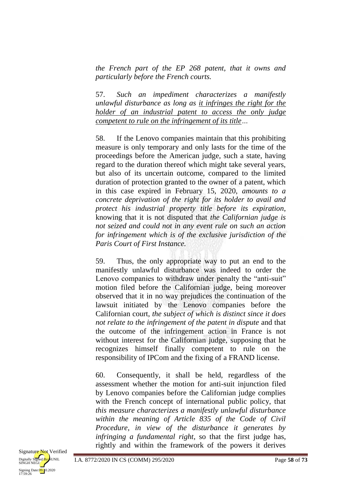*the French part of the EP 268 patent, that it owns and particularly before the French courts.*

57. *Such an impediment characterizes a manifestly unlawful disturbance as long as it infringes the right for the holder of an industrial patent to access the only judge competent to rule on the infringement of its title…*

58. If the Lenovo companies maintain that this prohibiting measure is only temporary and only lasts for the time of the proceedings before the American judge, such a state, having regard to the duration thereof which might take several years, but also of its uncertain outcome, compared to the limited duration of protection granted to the owner of a patent, which in this case expired in February 15, 2020, *amounts to a concrete deprivation of the right for its holder to avail and protect his industrial property title before its expiration*, knowing that it is not disputed that *the Californian judge is not seized and could not in any event rule on such an action for infringement which is of the exclusive jurisdiction of the Paris Court of First Instance.*

59. Thus, the only appropriate way to put an end to the manifestly unlawful disturbance was indeed to order the Lenovo companies to withdraw under penalty the "anti-suit" motion filed before the Californian judge, being moreover observed that it in no way prejudices the continuation of the lawsuit initiated by the Lenovo companies before the Californian court, *the subject of which is distinct since it does not relate to the infringement of the patent in dispute* and that the outcome of the infringement action in France is not without interest for the Californian judge, supposing that he recognizes himself finally competent to rule on the responsibility of IPCom and the fixing of a FRAND license.

60. Consequently, it shall be held, regardless of the assessment whether the motion for anti-suit injunction filed by Lenovo companies before the Californian judge complies with the French concept of international public policy, that *this measure characterizes a manifestly unlawful disturbance within the meaning of Article 835 of the Code of Civil Procedure, in view of the disturbance it generates by infringing a fundamental right*, so that the first judge has, rightly and within the framework of the powers it derives

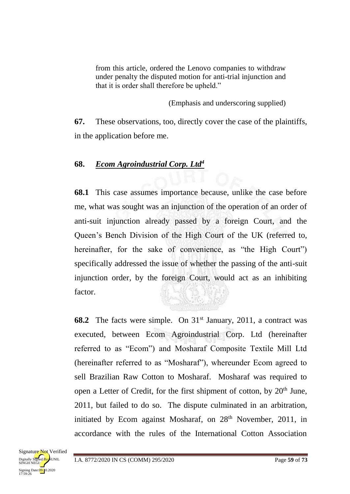from this article, ordered the Lenovo companies to withdraw under penalty the disputed motion for anti-trial injunction and that it is order shall therefore be upheld."

(Emphasis and underscoring supplied)

**67.** These observations, too, directly cover the case of the plaintiffs, in the application before me.

## **68.** *Ecom Agroindustrial Corp. Ltd<sup>4</sup>*

**68.1** This case assumes importance because, unlike the case before me, what was sought was an injunction of the operation of an order of anti-suit injunction already passed by a foreign Court, and the Queen's Bench Division of the High Court of the UK (referred to, hereinafter, for the sake of convenience, as "the High Court") specifically addressed the issue of whether the passing of the anti-suit injunction order, by the foreign Court, would act as an inhibiting factor.

**68.2** The facts were simple. On 31<sup>st</sup> January, 2011, a contract was executed, between Ecom Agroindustrial Corp. Ltd (hereinafter referred to as "Ecom") and Mosharaf Composite Textile Mill Ltd (hereinafter referred to as "Mosharaf"), whereunder Ecom agreed to sell Brazilian Raw Cotton to Mosharaf. Mosharaf was required to open a Letter of Credit, for the first shipment of cotton, by 20<sup>th</sup> June, 2011, but failed to do so. The dispute culminated in an arbitration, initiated by Ecom against Mosharaf, on 28<sup>th</sup> November, 2011, in accordance with the rules of the International Cotton Association

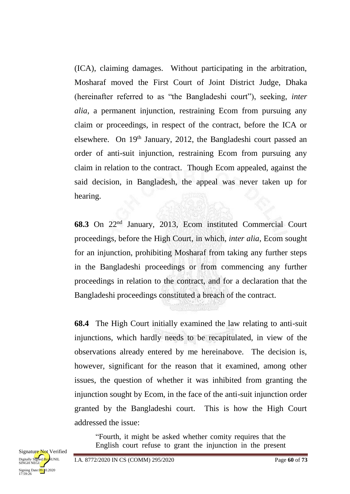(ICA), claiming damages. Without participating in the arbitration, Mosharaf moved the First Court of Joint District Judge, Dhaka (hereinafter referred to as "the Bangladeshi court"), seeking, *inter alia*, a permanent injunction, restraining Ecom from pursuing any claim or proceedings, in respect of the contract, before the ICA or elsewhere. On 19th January, 2012, the Bangladeshi court passed an order of anti-suit injunction, restraining Ecom from pursuing any claim in relation to the contract. Though Ecom appealed, against the said decision, in Bangladesh, the appeal was never taken up for hearing.

**68.3** On 22nd January, 2013, Ecom instituted Commercial Court proceedings, before the High Court, in which, *inter alia*, Ecom sought for an injunction, prohibiting Mosharaf from taking any further steps in the Bangladeshi proceedings or from commencing any further proceedings in relation to the contract, and for a declaration that the Bangladeshi proceedings constituted a breach of the contract.

**68.4** The High Court initially examined the law relating to anti-suit injunctions, which hardly needs to be recapitulated, in view of the observations already entered by me hereinabove. The decision is, however, significant for the reason that it examined, among other issues, the question of whether it was inhibited from granting the injunction sought by Ecom, in the face of the anti-suit injunction order granted by the Bangladeshi court. This is how the High Court addressed the issue:

"Fourth, it might be asked whether comity requires that the English court refuse to grant the injunction in the present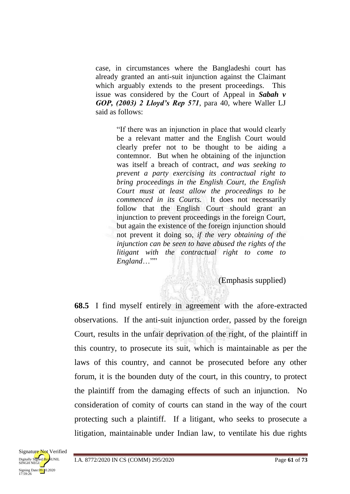case, in circumstances where the Bangladeshi court has already granted an anti-suit injunction against the Claimant which arguably extends to the present proceedings. This issue was considered by the Court of Appeal in *Sabah v GOP, (2003) 2 Lloyd's Rep 571*, para 40, where Waller LJ said as follows:

> "If there was an injunction in place that would clearly be a relevant matter and the English Court would clearly prefer not to be thought to be aiding a contemnor. But when he obtaining of the injunction was itself a breach of contract, *and was seeking to prevent a party exercising its contractual right to bring proceedings in the English Court, the English Court must at least allow the proceedings to be commenced in its Courts.* It does not necessarily follow that the English Court should grant an injunction to prevent proceedings in the foreign Court, but again the existence of the foreign injunction should not prevent it doing so, *if the very obtaining of the injunction can be seen to have abused the rights of the litigant with the contractual right to come to England*…""

> > (Emphasis supplied)

**68.5** I find myself entirely in agreement with the afore-extracted observations. If the anti-suit injunction order, passed by the foreign Court, results in the unfair deprivation of the right, of the plaintiff in this country, to prosecute its suit, which is maintainable as per the laws of this country, and cannot be prosecuted before any other forum, it is the bounden duty of the court, in this country, to protect the plaintiff from the damaging effects of such an injunction. No consideration of comity of courts can stand in the way of the court protecting such a plaintiff. If a litigant, who seeks to prosecute a litigation, maintainable under Indian law, to ventilate his due rights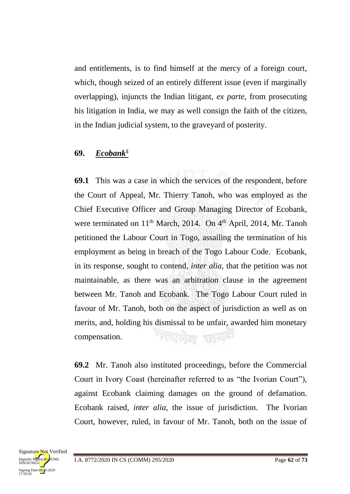and entitlements, is to find himself at the mercy of a foreign court, which, though seized of an entirely different issue (even if marginally overlapping), injuncts the Indian litigant, *ex parte*, from prosecuting his litigation in India, we may as well consign the faith of the citizen, in the Indian judicial system, to the graveyard of posterity.

## **69.** *Ecobank<sup>5</sup>*

**69.1** This was a case in which the services of the respondent, before the Court of Appeal, Mr. Thierry Tanoh, who was employed as the Chief Executive Officer and Group Managing Director of Ecobank, were terminated on  $11<sup>th</sup>$  March, 2014. On  $4<sup>th</sup>$  April, 2014, Mr. Tanoh petitioned the Labour Court in Togo, assailing the termination of his employment as being in breach of the Togo Labour Code. Ecobank, in its response, sought to contend, *inter alia*, that the petition was not maintainable, as there was an arbitration clause in the agreement between Mr. Tanoh and Ecobank. The Togo Labour Court ruled in favour of Mr. Tanoh, both on the aspect of jurisdiction as well as on merits, and, holding his dismissal to be unfair, awarded him monetary <sup>भर</sup>युयोल सुर्या compensation.

**69.2** Mr. Tanoh also instituted proceedings, before the Commercial Court in Ivory Coast (hereinafter referred to as "the Ivorian Court"), against Ecobank claiming damages on the ground of defamation. Ecobank raised, *inter alia*, the issue of jurisdiction. The Ivorian Court, however, ruled, in favour of Mr. Tanoh, both on the issue of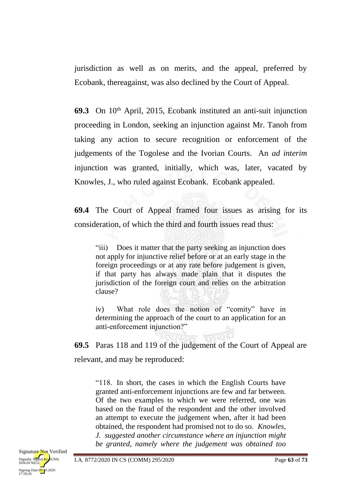jurisdiction as well as on merits, and the appeal, preferred by Ecobank, thereagainst, was also declined by the Court of Appeal.

**69.3** On 10<sup>th</sup> April, 2015, Ecobank instituted an anti-suit injunction proceeding in London, seeking an injunction against Mr. Tanoh from taking any action to secure recognition or enforcement of the judgements of the Togolese and the Ivorian Courts. An *ad interim* injunction was granted, initially, which was, later, vacated by Knowles, J., who ruled against Ecobank. Ecobank appealed.

**69.4** The Court of Appeal framed four issues as arising for its consideration, of which the third and fourth issues read thus:

"iii) Does it matter that the party seeking an injunction does not apply for injunctive relief before or at an early stage in the foreign proceedings or at any rate before judgement is given, if that party has always made plain that it disputes the jurisdiction of the foreign court and relies on the arbitration clause?

iv) What role does the notion of "comity" have in determining the approach of the court to an application for an anti-enforcement injunction?"

**69.5** Paras 118 and 119 of the judgement of the Court of Appeal are relevant, and may be reproduced:

"118. In short, the cases in which the English Courts have granted anti-enforcement injunctions are few and far between. Of the two examples to which we were referred, one was based on the fraud of the respondent and the other involved an attempt to execute the judgement when, after it had been obtained, the respondent had promised not to do so. *Knowles, J. suggested another circumstance where an injunction might be granted, namely where the judgement was obtained too*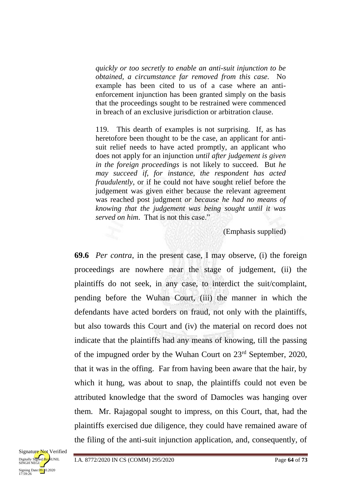*quickly or too secretly to enable an anti-suit injunction to be obtained, a circumstance far removed from this case.* No example has been cited to us of a case where an antienforcement injunction has been granted simply on the basis that the proceedings sought to be restrained were commenced in breach of an exclusive jurisdiction or arbitration clause.

119. This dearth of examples is not surprising. If, as has heretofore been thought to be the case, an applicant for antisuit relief needs to have acted promptly, an applicant who does not apply for an injunction *until after judgement is given in the foreign proceedings* is not likely to succeed. But *he may succeed if, for instance, the respondent has acted fraudulently*, or if he could not have sought relief before the judgement was given either because the relevant agreement was reached post judgment *or because he had no means of knowing that the judgement was being sought until it was served on him*. That is not this case."

(Emphasis supplied)

**69.6** *Per contra*, in the present case, I may observe, (i) the foreign proceedings are nowhere near the stage of judgement, (ii) the plaintiffs do not seek, in any case, to interdict the suit/complaint, pending before the Wuhan Court, (iii) the manner in which the defendants have acted borders on fraud, not only with the plaintiffs, but also towards this Court and (iv) the material on record does not indicate that the plaintiffs had any means of knowing, till the passing of the impugned order by the Wuhan Court on 23rd September, 2020, that it was in the offing. Far from having been aware that the hair, by which it hung, was about to snap, the plaintiffs could not even be attributed knowledge that the sword of Damocles was hanging over them. Mr. Rajagopal sought to impress, on this Court, that, had the plaintiffs exercised due diligence, they could have remained aware of the filing of the anti-suit injunction application, and, consequently, of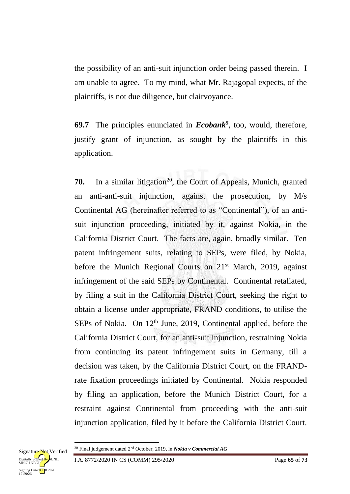the possibility of an anti-suit injunction order being passed therein. I am unable to agree. To my mind, what Mr. Rajagopal expects, of the plaintiffs, is not due diligence, but clairvoyance.

**69.7** The principles enunciated in *Ecobank<sup>5</sup>* , too, would, therefore, justify grant of injunction, as sought by the plaintiffs in this application.

**70.** In a similar litigation<sup>20</sup>, the Court of Appeals, Munich, granted an anti-anti-suit injunction, against the prosecution, by M/s Continental AG (hereinafter referred to as "Continental"), of an antisuit injunction proceeding, initiated by it, against Nokia, in the California District Court. The facts are, again, broadly similar. Ten patent infringement suits, relating to SEPs, were filed, by Nokia, before the Munich Regional Courts on 21<sup>st</sup> March, 2019, against infringement of the said SEPs by Continental. Continental retaliated, by filing a suit in the California District Court, seeking the right to obtain a license under appropriate, FRAND conditions, to utilise the SEPs of Nokia. On  $12<sup>th</sup>$  June, 2019, Continental applied, before the California District Court, for an anti-suit injunction, restraining Nokia from continuing its patent infringement suits in Germany, till a decision was taken, by the California District Court, on the FRANDrate fixation proceedings initiated by Continental. Nokia responded by filing an application, before the Munich District Court, for a restraint against Continental from proceeding with the anti-suit injunction application, filed by it before the California District Court.

1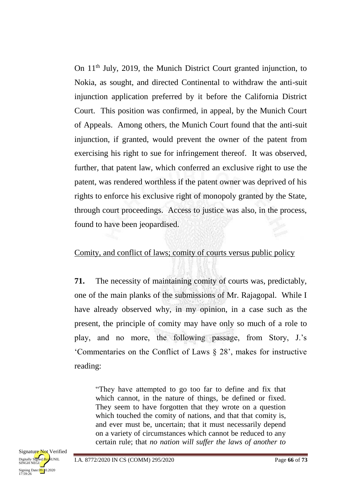On 11th July, 2019, the Munich District Court granted injunction, to Nokia, as sought, and directed Continental to withdraw the anti-suit injunction application preferred by it before the California District Court. This position was confirmed, in appeal, by the Munich Court of Appeals. Among others, the Munich Court found that the anti-suit injunction, if granted, would prevent the owner of the patent from exercising his right to sue for infringement thereof. It was observed, further, that patent law, which conferred an exclusive right to use the patent, was rendered worthless if the patent owner was deprived of his rights to enforce his exclusive right of monopoly granted by the State, through court proceedings. Access to justice was also, in the process, found to have been jeopardised.

#### Comity, and conflict of laws; comity of courts versus public policy

**71.** The necessity of maintaining comity of courts was, predictably, one of the main planks of the submissions of Mr. Rajagopal. While I have already observed why, in my opinion, in a case such as the present, the principle of comity may have only so much of a role to play, and no more, the following passage, from Story, J.'s 'Commentaries on the Conflict of Laws § 28', makes for instructive reading:

"They have attempted to go too far to define and fix that which cannot, in the nature of things, be defined or fixed. They seem to have forgotten that they wrote on a question which touched the comity of nations, and that that comity is, and ever must be, uncertain; that it must necessarily depend on a variety of circumstances which cannot be reduced to any certain rule; that *no nation will suffer the laws of another to*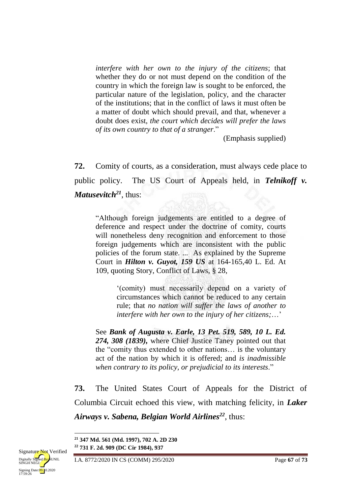*interfere with her own to the injury of the citizens*; that whether they do or not must depend on the condition of the country in which the foreign law is sought to be enforced, the particular nature of the legislation, policy, and the character of the institutions; that in the conflict of laws it must often be a matter of doubt which should prevail, and that, whenever a doubt does exist, *the court which decides will prefer the laws of its own country to that of a stranger*."

(Emphasis supplied)

**72.** Comity of courts, as a consideration, must always cede place to public policy. The US Court of Appeals held, in *Telnikoff v. Matusevitch<sup>21</sup>*, thus:

"Although foreign judgements are entitled to a degree of deference and respect under the doctrine of comity, courts will nonetheless deny recognition and enforcement to those foreign judgements which are inconsistent with the public policies of the forum state. ... As explained by the Supreme Court in *Hilton v. Guyot, 159 US* at 164-165,40 L. Ed. At 109, quoting Story, Conflict of Laws, § 28,

> '(comity) must necessarily depend on a variety of circumstances which cannot be reduced to any certain rule; that *no nation will suffer the laws of another to interfere with her own to the injury of her citizens;*…'

See *Bank of Augusta v. Earle, 13 Pet. 519, 589, 10 L. Ed. 274, 308 (1839),* where Chief Justice Taney pointed out that the "comity thus extended to other nations… is the voluntary act of the nation by which it is offered; and *is inadmissible when contrary to its policy, or prejudicial to its interests*."

**73.** The United States Court of Appeals for the District of Columbia Circuit echoed this view, with matching felicity, in *Laker Airways v. Sabena, Belgian World Airlines<sup>22</sup>*, thus:

**<sup>21</sup> 347 Md. 561 (Md. 1997), 702 A. 2D 230 <sup>22</sup> 731 F. 2d. 909 (DC Cir 1984), 937**



1

I.A. 8772/2020 IN CS (COMM) 295/2020 Page **67** of **73**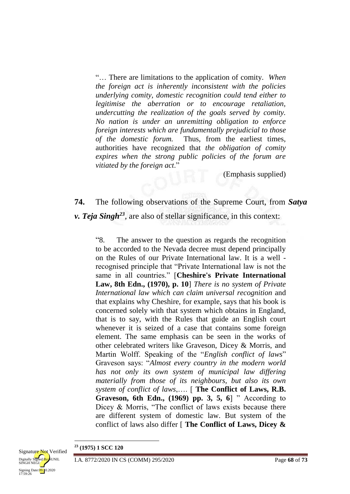"… There are limitations to the application of comity. *When the foreign act is inherently inconsistent with the policies underlying comity, domestic recognition could tend either to legitimise the aberration or to encourage retaliation, undercutting the realization of the goals served by comity. No nation is under an unremitting obligation to enforce foreign interests which are fundamentally prejudicial to those of the domestic forum.* Thus, from the earliest times, authorities have recognized that *the obligation of comity expires when the strong public policies of the forum are vitiated by the foreign act*."

(Emphasis supplied)

# **74.** The following observations of the Supreme Court, from *Satya v. Teja Singh<sup>23</sup>* , are also of stellar significance, in this context:

"8. The answer to the question as regards the recognition to be accorded to the Nevada decree must depend principally on the Rules of our Private International law. It is a well recognised principle that "Private International law is not the same in all countries." [**Cheshire's Private International Law, 8th Edn., (1970), p. 10**] *There is no system of Private International law which can claim universal recognition* and that explains why Cheshire, for example, says that his book is concerned solely with that system which obtains in England, that is to say, with the Rules that guide an English court whenever it is seized of a case that contains some foreign element. The same emphasis can be seen in the works of other celebrated writers like Graveson, Dicey & Morris, and Martin Wolff. Speaking of the "*English conflict of laws*" Graveson says: "*Almost every country in the modern world has not only its own system of municipal law differing materially from those of its neighbours, but also its own system of conflict of laws*,…. [ **The Conflict of Laws, R.B. Graveson, 6th Edn., (1969) pp. 3, 5, 6**] " According to Dicey & Morris, "The conflict of laws exists because there are different system of domestic law. But system of the conflict of laws also differ [ **The Conflict of Laws, Dicey &** 

**.** 



**<sup>23</sup> (1975) 1 SCC 120**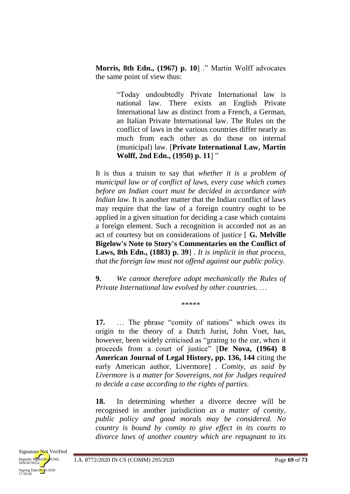**Morris, 8th Edn., (1967) p. 10**] ." Martin Wolff advocates the same point of view thus:

> "Today undoubtedly Private International law is national law. There exists an English Private International law as distinct from a French, a German, an Italian Private International law. The Rules on the conflict of laws in the various countries differ nearly as much from each other as do those on internal (municipal) law. [**Private International Law, Martin Wolff, 2nd Edn., (1950) p. 11**] "

It is thus a truism to say that *whether it is a problem of municipal law or of conflict of laws, every case which comes before an Indian court must be decided in accordance with Indian law.* It is another matter that the Indian conflict of laws may require that the law of a foreign country ought to be applied in a given situation for deciding a case which contains a foreign element. Such a recognition is accorded not as an act of courtesy but on considerations of justice [ **G. Melville Bigelow's Note to Story's Commentaries on the Conflict of Laws, 8th Edn., (1883) p. 39**] . *It is implicit in that process, that the foreign law must not offend against our public policy.*

**9.** *We cannot therefore adopt mechanically the Rules of Private International law evolved by other countries.* …

\*\*\*\*\*

**17.** … The phrase "comity of nations" which owes its origin to the theory of a Dutch Jurist, John Voet, has, however, been widely criticised as "grating to the ear, when it proceeds from a court of justice" [**De Nova, (1964) 8 American Journal of Legal History, pp. 136, 144** citing the early American author, Livermore] . *Comity, as said by Livermore is a matter for Sovereigns, not for Judges required to decide a case according to the rights of parties.*

**18.** In determining whether a divorce decree will be recognised in another jurisdiction *as a matter of comity, public policy and good morals may be considered. No country is bound by comity to give effect in its courts to divorce laws of another country which are repugnant to its*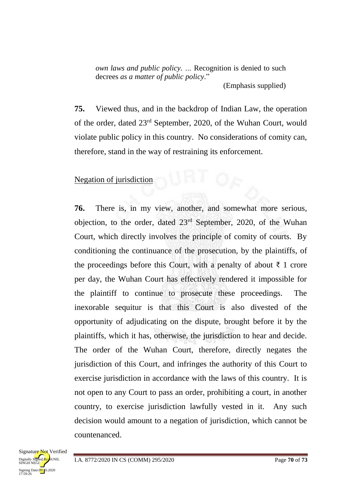*own laws and public policy. …* Recognition is denied to such decrees *as a matter of public policy*." (Emphasis supplied)

**75.** Viewed thus, and in the backdrop of Indian Law, the operation of the order, dated 23rd September, 2020, of the Wuhan Court, would violate public policy in this country. No considerations of comity can, therefore, stand in the way of restraining its enforcement.

#### Negation of jurisdiction

**76.** There is, in my view, another, and somewhat more serious, objection, to the order, dated 23rd September, 2020, of the Wuhan Court, which directly involves the principle of comity of courts. By conditioning the continuance of the prosecution, by the plaintiffs, of the proceedings before this Court, with a penalty of about  $\bar{\tau}$  1 crore per day, the Wuhan Court has effectively rendered it impossible for the plaintiff to continue to prosecute these proceedings. The inexorable sequitur is that this Court is also divested of the opportunity of adjudicating on the dispute, brought before it by the plaintiffs, which it has, otherwise, the jurisdiction to hear and decide. The order of the Wuhan Court, therefore, directly negates the jurisdiction of this Court, and infringes the authority of this Court to exercise jurisdiction in accordance with the laws of this country. It is not open to any Court to pass an order, prohibiting a court, in another country, to exercise jurisdiction lawfully vested in it. Any such decision would amount to a negation of jurisdiction, which cannot be countenanced.

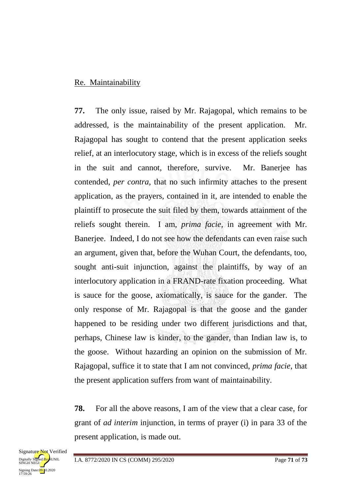#### Re. Maintainability

**77.** The only issue, raised by Mr. Rajagopal, which remains to be addressed, is the maintainability of the present application. Mr. Rajagopal has sought to contend that the present application seeks relief, at an interlocutory stage, which is in excess of the reliefs sought in the suit and cannot, therefore, survive. Mr. Banerjee has contended, *per contra*, that no such infirmity attaches to the present application, as the prayers, contained in it, are intended to enable the plaintiff to prosecute the suit filed by them, towards attainment of the reliefs sought therein. I am, *prima facie*, in agreement with Mr. Banerjee. Indeed, I do not see how the defendants can even raise such an argument, given that, before the Wuhan Court, the defendants, too, sought anti-suit injunction, against the plaintiffs, by way of an interlocutory application in a FRAND-rate fixation proceeding. What is sauce for the goose, axiomatically, is sauce for the gander. The only response of Mr. Rajagopal is that the goose and the gander happened to be residing under two different jurisdictions and that, perhaps, Chinese law is kinder, to the gander, than Indian law is, to the goose. Without hazarding an opinion on the submission of Mr. Rajagopal, suffice it to state that I am not convinced, *prima facie*, that the present application suffers from want of maintainability.

**78.** For all the above reasons, I am of the view that a clear case, for grant of *ad interim* injunction, in terms of prayer (i) in para 33 of the present application, is made out.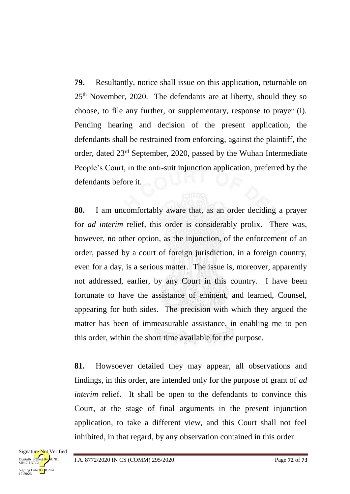**79.** Resultantly, notice shall issue on this application, returnable on 25th November, 2020. The defendants are at liberty, should they so choose, to file any further, or supplementary, response to prayer (i). Pending hearing and decision of the present application, the defendants shall be restrained from enforcing, against the plaintiff, the order, dated 23rd September, 2020, passed by the Wuhan Intermediate People's Court, in the anti-suit injunction application, preferred by the defendants before it.

**80.** I am uncomfortably aware that, as an order deciding a prayer for *ad interim* relief, this order is considerably prolix. There was, however, no other option, as the injunction, of the enforcement of an order, passed by a court of foreign jurisdiction, in a foreign country, even for a day, is a serious matter. The issue is, moreover, apparently not addressed, earlier, by any Court in this country. I have been fortunate to have the assistance of eminent, and learned, Counsel, appearing for both sides. The precision with which they argued the matter has been of immeasurable assistance, in enabling me to pen this order, within the short time available for the purpose.

**81.** Howsoever detailed they may appear, all observations and findings, in this order, are intended only for the purpose of grant of *ad interim* relief. It shall be open to the defendants to convince this Court, at the stage of final arguments in the present injunction application, to take a different view, and this Court shall not feel inhibited, in that regard, by any observation contained in this order.